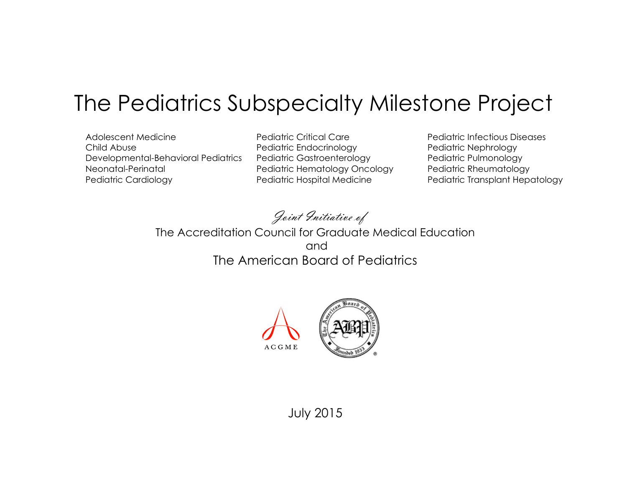# The Pediatrics Subspecialty Milestone Project

Adolescent Medicine Pediatric Critical Care Pediatric Infectious Diseases Child Abuse Pediatric Endocrinology Pediatric Nephrology Developmental-Behavioral Pediatrics Pediatric Gastroenterology Pediatric Pulmonology Neonatal-Perinatal **Perinatal Perinatal Pediatric Hematology Oncology** Pediatric Rheumatology Pediatric Cardiology **Pediatric Hospital Medicine** Pediatric Transplant Hepatology

Joint Initiative of

The Accreditation Council for Graduate Medical Education and The American Board of Pediatrics



July 2015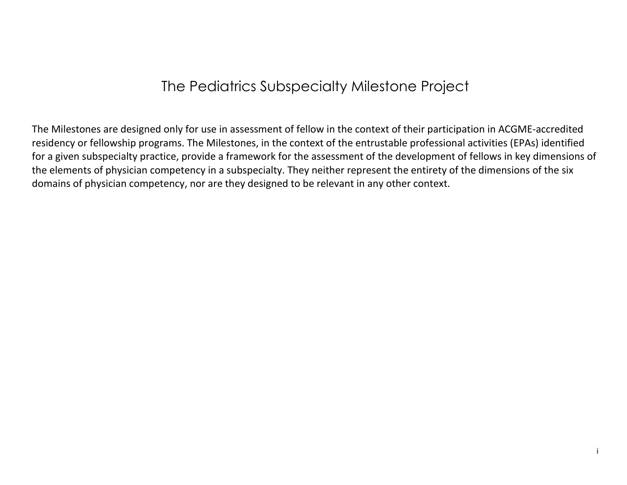## The Pediatrics Subspecialty Milestone Project

The Milestones are designed only for use in assessment of fellow in the context of their participation in ACGME-accredited residency or fellowship programs. The Milestones, in the context of the entrustable professional activities (EPAs) identified for a given subspecialty practice, provide a framework for the assessment of the development of fellows in key dimensions of the elements of physician competency in a subspecialty. They neither represent the entirety of the dimensions of the six domains of physician competency, nor are they designed to be relevant in any other context.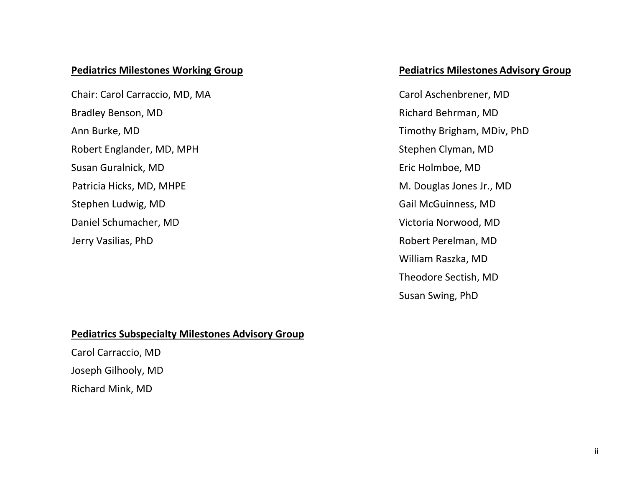### **Pediatrics Milestones Working Group Pediatrics Milestones Advisory Group**

Chair: Carol Carraccio, MD, MA Chair: Carol Aschenbrener, MD Bradley Benson, MD **Richard Behrman, MD** Ann Burke, MD **Timothy Brigham, MDiv, PhD** Robert Englander, MD, MPH Stephen Clyman, MD Susan Guralnick, MD **Example 2018** Susan Guralnick, MD Patricia Hicks, MD, MHPE M. Douglas Jones Jr., MD Stephen Ludwig, MD Gail McGuinness, MD Daniel Schumacher, MD Victoria Norwood, MD Jerry Vasilias, PhD **Robert Perelman, MD** 

William Raszka, MD Theodore Sectish, MD Susan Swing, PhD

#### **Pediatrics Subspecialty Milestones Advisory Group**

Carol Carraccio, MD Joseph Gilhooly, MD

Richard Mink, MD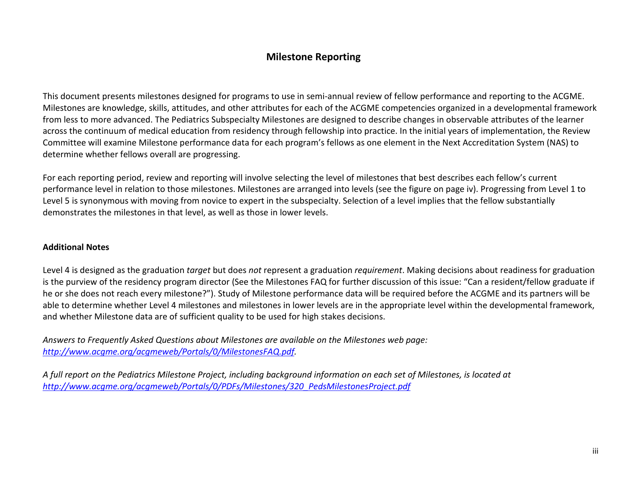### **Milestone Reporting**

This document presents milestones designed for programs to use in semi-annual review of fellow performance and reporting to the ACGME. Milestones are knowledge, skills, attitudes, and other attributes for each of the ACGME competencies organized in a developmental framework from less to more advanced. The Pediatrics Subspecialty Milestones are designed to describe changes in observable attributes of the learner across the continuum of medical education from residency through fellowship into practice. In the initial years of implementation, the Review Committee will examine Milestone performance data for each program's fellows as one element in the Next Accreditation System (NAS) to determine whether fellows overall are progressing.

For each reporting period, review and reporting will involve selecting the level of milestones that best describes each fellow's current performance level in relation to those milestones. Milestones are arranged into levels (see the figure on page iv). Progressing from Level 1 to Level 5 is synonymous with moving from novice to expert in the subspecialty. Selection of a level implies that the fellow substantially demonstrates the milestones in that level, as well as those in lower levels.

#### **Additional Notes**

Level 4 is designed as the graduation *target* but does *not* represent a graduation *requirement*. Making decisions about readiness for graduation is the purview of the residency program director (See the Milestones FAQ for further discussion of this issue: "Can a resident/fellow graduate if he or she does not reach every milestone?"). Study of Milestone performance data will be required before the ACGME and its partners will be able to determine whether Level 4 milestones and milestones in lower levels are in the appropriate level within the developmental framework, and whether Milestone data are of sufficient quality to be used for high stakes decisions.

*Answers to Frequently Asked Questions about Milestones are available on the Milestones web page: [http://www.acgme.org/acgmeweb/Portals/0/MilestonesFAQ.pdf.](http://www.acgme.org/acgmeweb/Portals/0/MilestonesFAQ.pdf)*

*A full report on the Pediatrics Milestone Project, including background information on each set of Milestones, is located at [http://www.acgme.org/acgmeweb/Portals/0/PDFs/Milestones/320\\_PedsMilestonesProject.pdf](http://www.acgme.org/acgmeweb/Portals/0/PDFs/Milestones/320_PedsMilestonesProject.pdf)*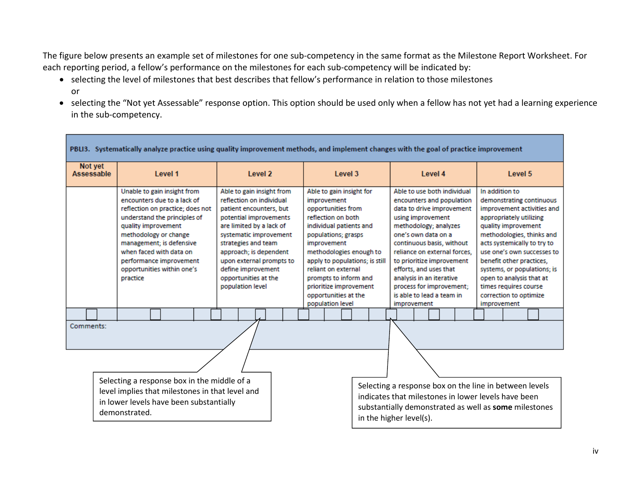The figure below presents an example set of milestones for one sub-competency in the same format as the Milestone Report Worksheet. For each reporting period, a fellow's performance on the milestones for each sub-competency will be indicated by:

- selecting the level of milestones that best describes that fellow's performance in relation to those milestones or
- selecting the "Not yet Assessable" response option. This option should be used only when a fellow has not yet had a learning experience in the sub-competency.

| PBLI3. Systematically analyze practice using quality improvement methods, and implement changes with the goal of practice improvement                                                                                                                                                                                                                           |                                                                                                                                                                                                                                                                                                            |                                                                                                                                                                                                                                                                                                                 |                                                                                                                                                                                                                                                                                                                                         |                                                                                                                                                                                                                                                                                                                                                                                    |                                                                                                                                                                                                                                                                                                                                                                               |  |  |  |  |  |  |
|-----------------------------------------------------------------------------------------------------------------------------------------------------------------------------------------------------------------------------------------------------------------------------------------------------------------------------------------------------------------|------------------------------------------------------------------------------------------------------------------------------------------------------------------------------------------------------------------------------------------------------------------------------------------------------------|-----------------------------------------------------------------------------------------------------------------------------------------------------------------------------------------------------------------------------------------------------------------------------------------------------------------|-----------------------------------------------------------------------------------------------------------------------------------------------------------------------------------------------------------------------------------------------------------------------------------------------------------------------------------------|------------------------------------------------------------------------------------------------------------------------------------------------------------------------------------------------------------------------------------------------------------------------------------------------------------------------------------------------------------------------------------|-------------------------------------------------------------------------------------------------------------------------------------------------------------------------------------------------------------------------------------------------------------------------------------------------------------------------------------------------------------------------------|--|--|--|--|--|--|
| Not yet<br>Assessable                                                                                                                                                                                                                                                                                                                                           | Level 1                                                                                                                                                                                                                                                                                                    | Level 2                                                                                                                                                                                                                                                                                                         | Level 3                                                                                                                                                                                                                                                                                                                                 | Level 4                                                                                                                                                                                                                                                                                                                                                                            | Level 5                                                                                                                                                                                                                                                                                                                                                                       |  |  |  |  |  |  |
|                                                                                                                                                                                                                                                                                                                                                                 | Unable to gain insight from<br>encounters due to a lack of<br>reflection on practice; does not<br>understand the principles of<br>quality improvement<br>methodology or change<br>management; is defensive<br>when faced with data on<br>performance improvement<br>opportunities within one's<br>practice | Able to gain insight from<br>reflection on individual<br>patient encounters, but<br>potential improvements<br>are limited by a lack of<br>systematic improvement<br>strategies and team<br>approach; is dependent<br>upon external prompts to<br>define improvement<br>opportunities at the<br>population level | Able to gain insight for<br>improvement<br>opportunities from<br>reflection on both<br>individual patients and<br>populations; grasps<br>improvement<br>methodologies enough to<br>apply to populations; is still<br>reliant on external<br>prompts to inform and<br>prioritize improvement<br>opportunities at the<br>population level | Able to use both individual<br>encounters and population<br>data to drive improvement<br>using improvement<br>methodology; analyzes<br>one's own data on a<br>continuous basis, without<br>reliance on external forces.<br>to prioritize improvement<br>efforts, and uses that<br>analysis in an iterative<br>process for improvement;<br>is able to lead a team in<br>improvement | In addition to<br>demonstrating continuous<br>improvement activities and<br>appropriately utilizing<br>quality improvement<br>methodologies, thinks and<br>acts systemically to try to<br>use one's own successes to<br>benefit other practices.<br>systems, or populations; is<br>open to analysis that at<br>times requires course<br>correction to optimize<br>improvement |  |  |  |  |  |  |
|                                                                                                                                                                                                                                                                                                                                                                 |                                                                                                                                                                                                                                                                                                            |                                                                                                                                                                                                                                                                                                                 |                                                                                                                                                                                                                                                                                                                                         |                                                                                                                                                                                                                                                                                                                                                                                    |                                                                                                                                                                                                                                                                                                                                                                               |  |  |  |  |  |  |
| Comments:                                                                                                                                                                                                                                                                                                                                                       |                                                                                                                                                                                                                                                                                                            |                                                                                                                                                                                                                                                                                                                 |                                                                                                                                                                                                                                                                                                                                         |                                                                                                                                                                                                                                                                                                                                                                                    |                                                                                                                                                                                                                                                                                                                                                                               |  |  |  |  |  |  |
| Selecting a response box in the middle of a<br>Selecting a response box on the line in between levels<br>level implies that milestones in that level and<br>indicates that milestones in lower levels have been<br>in lower levels have been substantially<br>substantially demonstrated as well as some milestones<br>demonstrated.<br>in the higher level(s). |                                                                                                                                                                                                                                                                                                            |                                                                                                                                                                                                                                                                                                                 |                                                                                                                                                                                                                                                                                                                                         |                                                                                                                                                                                                                                                                                                                                                                                    |                                                                                                                                                                                                                                                                                                                                                                               |  |  |  |  |  |  |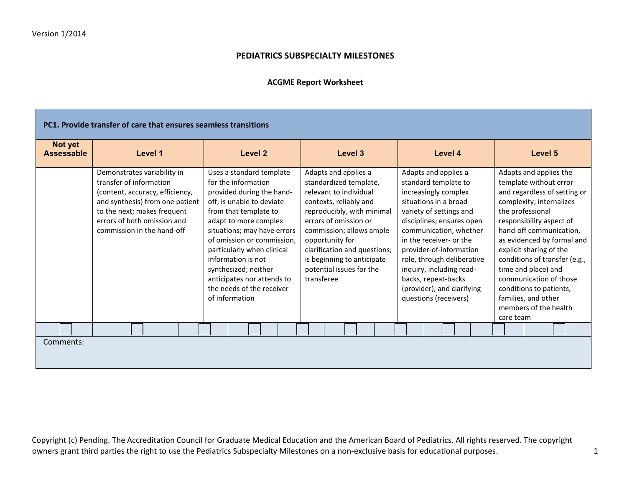#### **PEDIATRICS SUBSPECIALTY MILESTONES**

#### **ACGME Report Worksheet**

| Not yet<br><b>Assessable</b> | Level 1                                                                                                                                                                                                                  | Level 2                                                                                                                                                                                                                                                                                                                                                                           | Level 3                                                                                                                                                                                                                                                                                                          | Level 4                                                                                                                                                                                                                                                                                                                                                                       | Level 5                                                                                                                                                                                                                                                                                                                                                                                                                    |  |  |
|------------------------------|--------------------------------------------------------------------------------------------------------------------------------------------------------------------------------------------------------------------------|-----------------------------------------------------------------------------------------------------------------------------------------------------------------------------------------------------------------------------------------------------------------------------------------------------------------------------------------------------------------------------------|------------------------------------------------------------------------------------------------------------------------------------------------------------------------------------------------------------------------------------------------------------------------------------------------------------------|-------------------------------------------------------------------------------------------------------------------------------------------------------------------------------------------------------------------------------------------------------------------------------------------------------------------------------------------------------------------------------|----------------------------------------------------------------------------------------------------------------------------------------------------------------------------------------------------------------------------------------------------------------------------------------------------------------------------------------------------------------------------------------------------------------------------|--|--|
|                              | Demonstrates variability in<br>transfer of information<br>(content, accuracy, efficiency,<br>and synthesis) from one patient<br>to the next; makes frequent<br>errors of both omission and<br>commission in the hand-off | Uses a standard template<br>for the information<br>provided during the hand-<br>off: is unable to deviate<br>from that template to<br>adapt to more complex<br>situations; may have errors<br>of omission or commission,<br>particularly when clinical<br>information is not<br>synthesized; neither<br>anticipates nor attends to<br>the needs of the receiver<br>of information | Adapts and applies a<br>standardized template,<br>relevant to individual<br>contexts, reliably and<br>reproducibly, with minimal<br>errors of omission or<br>commission; allows ample<br>opportunity for<br>clarification and questions;<br>is beginning to anticipate<br>potential issues for the<br>transferee | Adapts and applies a<br>standard template to<br>increasingly complex<br>situations in a broad<br>variety of settings and<br>disciplines; ensures open<br>communication, whether<br>in the receiver- or the<br>provider-of-information<br>role, through deliberative<br>inquiry, including read-<br>backs, repeat-backs<br>(provider), and clarifying<br>questions (receivers) | Adapts and applies the<br>template without error<br>and regardless of setting or<br>complexity; internalizes<br>the professional<br>responsibility aspect of<br>hand-off communication,<br>as evidenced by formal and<br>explicit sharing of the<br>conditions of transfer (e.g.,<br>time and place) and<br>communication of those<br>conditions to patients,<br>families, and other<br>members of the health<br>care team |  |  |
|                              |                                                                                                                                                                                                                          |                                                                                                                                                                                                                                                                                                                                                                                   |                                                                                                                                                                                                                                                                                                                  |                                                                                                                                                                                                                                                                                                                                                                               |                                                                                                                                                                                                                                                                                                                                                                                                                            |  |  |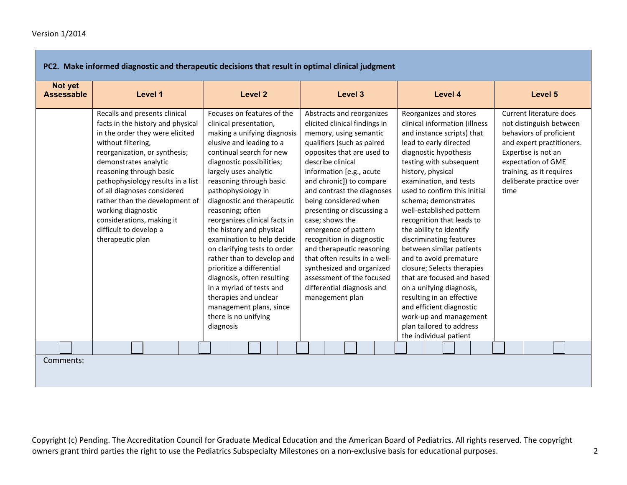| PC2. Make informed diagnostic and therapeutic decisions that result in optimal clinical judgment |                                                                                                                                                                                                                                                                                                                                                                                                                         |         |  |           |                                                                                                                                                                                                                                                                                                                                                                                                                                                                                                                                                                                                                                  |  |  |         |                                                         |                                                                                                                                                                                                                                                                                                                                                                                                                                                                                                          |  |                   |  |                                                                                                                                                                                                                                                                                                                                                                                                                                                                                                                                                                                                                                                             |         |      |                                                                                                                                                                                                                 |  |
|--------------------------------------------------------------------------------------------------|-------------------------------------------------------------------------------------------------------------------------------------------------------------------------------------------------------------------------------------------------------------------------------------------------------------------------------------------------------------------------------------------------------------------------|---------|--|-----------|----------------------------------------------------------------------------------------------------------------------------------------------------------------------------------------------------------------------------------------------------------------------------------------------------------------------------------------------------------------------------------------------------------------------------------------------------------------------------------------------------------------------------------------------------------------------------------------------------------------------------------|--|--|---------|---------------------------------------------------------|----------------------------------------------------------------------------------------------------------------------------------------------------------------------------------------------------------------------------------------------------------------------------------------------------------------------------------------------------------------------------------------------------------------------------------------------------------------------------------------------------------|--|-------------------|--|-------------------------------------------------------------------------------------------------------------------------------------------------------------------------------------------------------------------------------------------------------------------------------------------------------------------------------------------------------------------------------------------------------------------------------------------------------------------------------------------------------------------------------------------------------------------------------------------------------------------------------------------------------------|---------|------|-----------------------------------------------------------------------------------------------------------------------------------------------------------------------------------------------------------------|--|
| Not yet<br><b>Assessable</b>                                                                     |                                                                                                                                                                                                                                                                                                                                                                                                                         | Level 1 |  |           | <b>Level 2</b>                                                                                                                                                                                                                                                                                                                                                                                                                                                                                                                                                                                                                   |  |  | Level 3 |                                                         | Level 4                                                                                                                                                                                                                                                                                                                                                                                                                                                                                                  |  |                   |  |                                                                                                                                                                                                                                                                                                                                                                                                                                                                                                                                                                                                                                                             | Level 5 |      |                                                                                                                                                                                                                 |  |
|                                                                                                  | Recalls and presents clinical<br>facts in the history and physical<br>in the order they were elicited<br>without filtering,<br>reorganization, or synthesis;<br>demonstrates analytic<br>reasoning through basic<br>pathophysiology results in a list<br>of all diagnoses considered<br>rather than the development of<br>working diagnostic<br>considerations, making it<br>difficult to develop a<br>therapeutic plan |         |  | diagnosis | Focuses on features of the<br>clinical presentation,<br>making a unifying diagnosis<br>elusive and leading to a<br>continual search for new<br>diagnostic possibilities;<br>largely uses analytic<br>reasoning through basic<br>pathophysiology in<br>diagnostic and therapeutic<br>reasoning; often<br>reorganizes clinical facts in<br>the history and physical<br>examination to help decide<br>on clarifying tests to order<br>rather than to develop and<br>prioritize a differential<br>diagnosis, often resulting<br>in a myriad of tests and<br>therapies and unclear<br>management plans, since<br>there is no unifying |  |  |         | describe clinical<br>case; shows the<br>management plan | Abstracts and reorganizes<br>elicited clinical findings in<br>memory, using semantic<br>qualifiers (such as paired<br>opposites that are used to<br>information [e.g., acute<br>and chronic]) to compare<br>and contrast the diagnoses<br>being considered when<br>presenting or discussing a<br>emergence of pattern<br>recognition in diagnostic<br>and therapeutic reasoning<br>that often results in a well-<br>synthesized and organized<br>assessment of the focused<br>differential diagnosis and |  | history, physical |  | Reorganizes and stores<br>clinical information (illness<br>and instance scripts) that<br>lead to early directed<br>diagnostic hypothesis<br>testing with subsequent<br>examination, and tests<br>used to confirm this initial<br>schema; demonstrates<br>well-established pattern<br>recognition that leads to<br>the ability to identify<br>discriminating features<br>between similar patients<br>and to avoid premature<br>closure; Selects therapies<br>that are focused and based<br>on a unifying diagnosis,<br>resulting in an effective<br>and efficient diagnostic<br>work-up and management<br>plan tailored to address<br>the individual patient |         | time | Current literature does<br>not distinguish between<br>behaviors of proficient<br>and expert practitioners.<br>Expertise is not an<br>expectation of GME<br>training, as it requires<br>deliberate practice over |  |
| Comments:                                                                                        |                                                                                                                                                                                                                                                                                                                                                                                                                         |         |  |           |                                                                                                                                                                                                                                                                                                                                                                                                                                                                                                                                                                                                                                  |  |  |         |                                                         |                                                                                                                                                                                                                                                                                                                                                                                                                                                                                                          |  |                   |  |                                                                                                                                                                                                                                                                                                                                                                                                                                                                                                                                                                                                                                                             |         |      |                                                                                                                                                                                                                 |  |
|                                                                                                  |                                                                                                                                                                                                                                                                                                                                                                                                                         |         |  |           |                                                                                                                                                                                                                                                                                                                                                                                                                                                                                                                                                                                                                                  |  |  |         |                                                         |                                                                                                                                                                                                                                                                                                                                                                                                                                                                                                          |  |                   |  |                                                                                                                                                                                                                                                                                                                                                                                                                                                                                                                                                                                                                                                             |         |      |                                                                                                                                                                                                                 |  |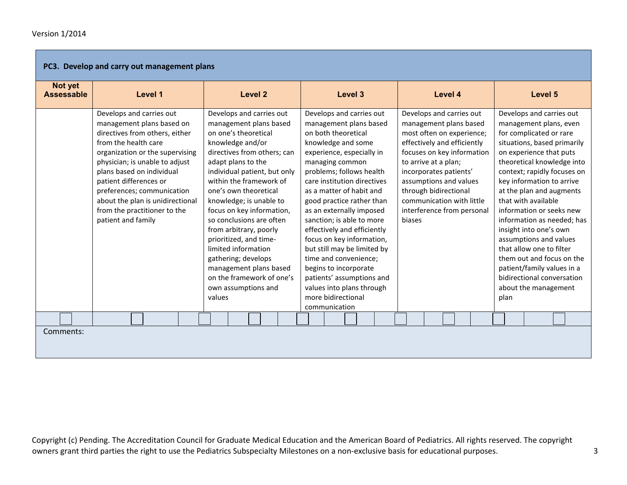|                              | PC3. Develop and carry out management plans                                                                                                                                                                                                                                                                                                                         |                                                                                                                                                                                                                                                                                                                                                                                                                                                                                                                       |                                                                                                                                                                                                                                                                                                                                                                                                                                                                                                                                                                            |                                                                                                                                                                                                                                                                                                                        |                                                                                                                                                                                                                                                                                                                                                                                                                                                                                                                                                         |  |  |
|------------------------------|---------------------------------------------------------------------------------------------------------------------------------------------------------------------------------------------------------------------------------------------------------------------------------------------------------------------------------------------------------------------|-----------------------------------------------------------------------------------------------------------------------------------------------------------------------------------------------------------------------------------------------------------------------------------------------------------------------------------------------------------------------------------------------------------------------------------------------------------------------------------------------------------------------|----------------------------------------------------------------------------------------------------------------------------------------------------------------------------------------------------------------------------------------------------------------------------------------------------------------------------------------------------------------------------------------------------------------------------------------------------------------------------------------------------------------------------------------------------------------------------|------------------------------------------------------------------------------------------------------------------------------------------------------------------------------------------------------------------------------------------------------------------------------------------------------------------------|---------------------------------------------------------------------------------------------------------------------------------------------------------------------------------------------------------------------------------------------------------------------------------------------------------------------------------------------------------------------------------------------------------------------------------------------------------------------------------------------------------------------------------------------------------|--|--|
| Not yet<br><b>Assessable</b> | Level 1                                                                                                                                                                                                                                                                                                                                                             | <b>Level 2</b>                                                                                                                                                                                                                                                                                                                                                                                                                                                                                                        | Level 3                                                                                                                                                                                                                                                                                                                                                                                                                                                                                                                                                                    | Level 4                                                                                                                                                                                                                                                                                                                | Level 5                                                                                                                                                                                                                                                                                                                                                                                                                                                                                                                                                 |  |  |
|                              | Develops and carries out<br>management plans based on<br>directives from others, either<br>from the health care<br>organization or the supervising<br>physician; is unable to adjust<br>plans based on individual<br>patient differences or<br>preferences; communication<br>about the plan is unidirectional<br>from the practitioner to the<br>patient and family | Develops and carries out<br>management plans based<br>on one's theoretical<br>knowledge and/or<br>directives from others; can<br>adapt plans to the<br>individual patient, but only<br>within the framework of<br>one's own theoretical<br>knowledge; is unable to<br>focus on key information,<br>so conclusions are often<br>from arbitrary, poorly<br>prioritized, and time-<br>limited information<br>gathering; develops<br>management plans based<br>on the framework of one's<br>own assumptions and<br>values | Develops and carries out<br>management plans based<br>on both theoretical<br>knowledge and some<br>experience, especially in<br>managing common<br>problems; follows health<br>care institution directives<br>as a matter of habit and<br>good practice rather than<br>as an externally imposed<br>sanction; is able to more<br>effectively and efficiently<br>focus on key information,<br>but still may be limited by<br>time and convenience;<br>begins to incorporate<br>patients' assumptions and<br>values into plans through<br>more bidirectional<br>communication | Develops and carries out<br>management plans based<br>most often on experience;<br>effectively and efficiently<br>focuses on key information<br>to arrive at a plan;<br>incorporates patients'<br>assumptions and values<br>through bidirectional<br>communication with little<br>interference from personal<br>biases | Develops and carries out<br>management plans, even<br>for complicated or rare<br>situations, based primarily<br>on experience that puts<br>theoretical knowledge into<br>context; rapidly focuses on<br>key information to arrive<br>at the plan and augments<br>that with available<br>information or seeks new<br>information as needed; has<br>insight into one's own<br>assumptions and values<br>that allow one to filter<br>them out and focus on the<br>patient/family values in a<br>bidirectional conversation<br>about the management<br>plan |  |  |
|                              |                                                                                                                                                                                                                                                                                                                                                                     |                                                                                                                                                                                                                                                                                                                                                                                                                                                                                                                       |                                                                                                                                                                                                                                                                                                                                                                                                                                                                                                                                                                            |                                                                                                                                                                                                                                                                                                                        |                                                                                                                                                                                                                                                                                                                                                                                                                                                                                                                                                         |  |  |
| Comments:                    |                                                                                                                                                                                                                                                                                                                                                                     |                                                                                                                                                                                                                                                                                                                                                                                                                                                                                                                       |                                                                                                                                                                                                                                                                                                                                                                                                                                                                                                                                                                            |                                                                                                                                                                                                                                                                                                                        |                                                                                                                                                                                                                                                                                                                                                                                                                                                                                                                                                         |  |  |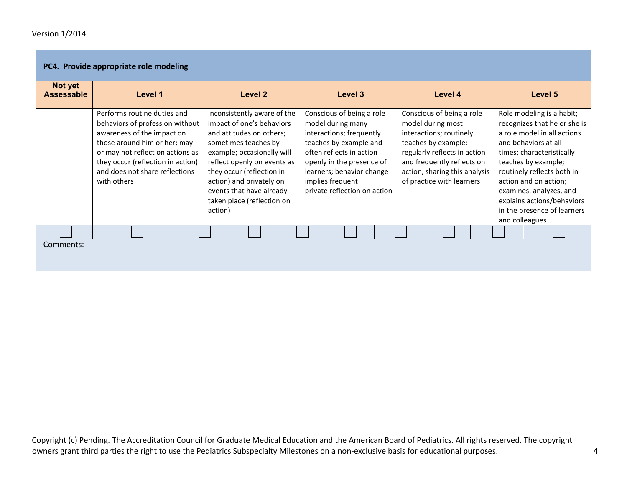|                              | PC4. Provide appropriate role modeling                                                                                                                                                                                                                 |                                                                                                                                                                                                                                                                                                         |                                                                                                                                                                                                                                                |                                                                                                                                                                                                                              |                                                                                                                                                                                                                                                                                                                                       |
|------------------------------|--------------------------------------------------------------------------------------------------------------------------------------------------------------------------------------------------------------------------------------------------------|---------------------------------------------------------------------------------------------------------------------------------------------------------------------------------------------------------------------------------------------------------------------------------------------------------|------------------------------------------------------------------------------------------------------------------------------------------------------------------------------------------------------------------------------------------------|------------------------------------------------------------------------------------------------------------------------------------------------------------------------------------------------------------------------------|---------------------------------------------------------------------------------------------------------------------------------------------------------------------------------------------------------------------------------------------------------------------------------------------------------------------------------------|
| Not yet<br><b>Assessable</b> | Level 1                                                                                                                                                                                                                                                | Level 2                                                                                                                                                                                                                                                                                                 | Level 3                                                                                                                                                                                                                                        | Level 4                                                                                                                                                                                                                      | Level 5                                                                                                                                                                                                                                                                                                                               |
|                              | Performs routine duties and<br>behaviors of profession without<br>awareness of the impact on<br>those around him or her; may<br>or may not reflect on actions as<br>they occur (reflection in action)<br>and does not share reflections<br>with others | Inconsistently aware of the<br>impact of one's behaviors<br>and attitudes on others;<br>sometimes teaches by<br>example; occasionally will<br>reflect openly on events as<br>they occur (reflection in<br>action) and privately on<br>events that have already<br>taken place (reflection on<br>action) | Conscious of being a role<br>model during many<br>interactions; frequently<br>teaches by example and<br>often reflects in action<br>openly in the presence of<br>learners; behavior change<br>implies frequent<br>private reflection on action | Conscious of being a role<br>model during most<br>interactions; routinely<br>teaches by example;<br>regularly reflects in action<br>and frequently reflects on<br>action, sharing this analysis<br>of practice with learners | Role modeling is a habit;<br>recognizes that he or she is<br>a role model in all actions<br>and behaviors at all<br>times; characteristically<br>teaches by example;<br>routinely reflects both in<br>action and on action;<br>examines, analyzes, and<br>explains actions/behaviors<br>in the presence of learners<br>and colleagues |
|                              |                                                                                                                                                                                                                                                        |                                                                                                                                                                                                                                                                                                         |                                                                                                                                                                                                                                                |                                                                                                                                                                                                                              |                                                                                                                                                                                                                                                                                                                                       |
| Comments:                    |                                                                                                                                                                                                                                                        |                                                                                                                                                                                                                                                                                                         |                                                                                                                                                                                                                                                |                                                                                                                                                                                                                              |                                                                                                                                                                                                                                                                                                                                       |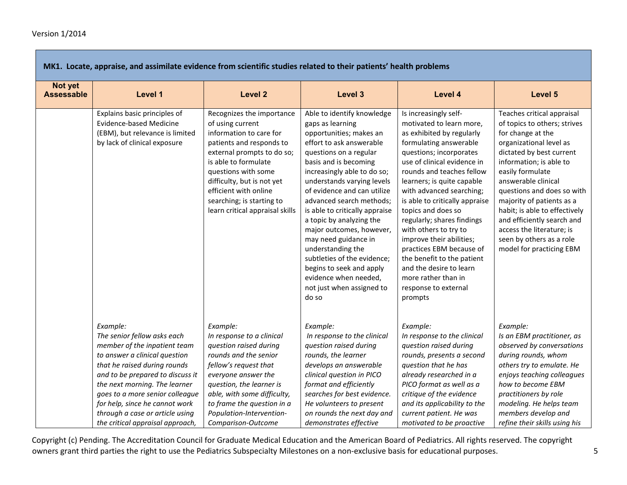|                              | MK1. Locate, appraise, and assimilate evidence from scientific studies related to their patients' health problems                                                                                                                                                                                                                                         |                                                                                                                                                                                                                                                                                                          |                                                                                                                                                                                                                                                                                                                                                                                                                                                                                                                                                   |                                                                                                                                                                                                                                                                                                                                                                                                                                                                                                                                                     |                                                                                                                                                                                                                                                                                                                                                                                                                             |  |  |  |  |  |  |  |
|------------------------------|-----------------------------------------------------------------------------------------------------------------------------------------------------------------------------------------------------------------------------------------------------------------------------------------------------------------------------------------------------------|----------------------------------------------------------------------------------------------------------------------------------------------------------------------------------------------------------------------------------------------------------------------------------------------------------|---------------------------------------------------------------------------------------------------------------------------------------------------------------------------------------------------------------------------------------------------------------------------------------------------------------------------------------------------------------------------------------------------------------------------------------------------------------------------------------------------------------------------------------------------|-----------------------------------------------------------------------------------------------------------------------------------------------------------------------------------------------------------------------------------------------------------------------------------------------------------------------------------------------------------------------------------------------------------------------------------------------------------------------------------------------------------------------------------------------------|-----------------------------------------------------------------------------------------------------------------------------------------------------------------------------------------------------------------------------------------------------------------------------------------------------------------------------------------------------------------------------------------------------------------------------|--|--|--|--|--|--|--|
| Not yet<br><b>Assessable</b> | Level 1                                                                                                                                                                                                                                                                                                                                                   | <b>Level 2</b>                                                                                                                                                                                                                                                                                           | Level 3                                                                                                                                                                                                                                                                                                                                                                                                                                                                                                                                           | Level 4                                                                                                                                                                                                                                                                                                                                                                                                                                                                                                                                             | Level 5                                                                                                                                                                                                                                                                                                                                                                                                                     |  |  |  |  |  |  |  |
|                              | Explains basic principles of<br><b>Evidence-based Medicine</b><br>(EBM), but relevance is limited<br>by lack of clinical exposure                                                                                                                                                                                                                         | Recognizes the importance<br>of using current<br>information to care for<br>patients and responds to<br>external prompts to do so;<br>is able to formulate<br>questions with some<br>difficulty, but is not yet<br>efficient with online<br>searching; is starting to<br>learn critical appraisal skills | Able to identify knowledge<br>gaps as learning<br>opportunities; makes an<br>effort to ask answerable<br>questions on a regular<br>basis and is becoming<br>increasingly able to do so;<br>understands varying levels<br>of evidence and can utilize<br>advanced search methods;<br>is able to critically appraise<br>a topic by analyzing the<br>major outcomes, however,<br>may need guidance in<br>understanding the<br>subtleties of the evidence;<br>begins to seek and apply<br>evidence when needed,<br>not just when assigned to<br>do so | Is increasingly self-<br>motivated to learn more,<br>as exhibited by regularly<br>formulating answerable<br>questions; incorporates<br>use of clinical evidence in<br>rounds and teaches fellow<br>learners; is quite capable<br>with advanced searching;<br>is able to critically appraise<br>topics and does so<br>regularly; shares findings<br>with others to try to<br>improve their abilities;<br>practices EBM because of<br>the benefit to the patient<br>and the desire to learn<br>more rather than in<br>response to external<br>prompts | Teaches critical appraisal<br>of topics to others; strives<br>for change at the<br>organizational level as<br>dictated by best current<br>information; is able to<br>easily formulate<br>answerable clinical<br>questions and does so with<br>majority of patients as a<br>habit; is able to effectively<br>and efficiently search and<br>access the literature; is<br>seen by others as a role<br>model for practicing EBM |  |  |  |  |  |  |  |
|                              | Example:<br>The senior fellow asks each<br>member of the inpatient team<br>to answer a clinical question<br>that he raised during rounds<br>and to be prepared to discuss it<br>the next morning. The learner<br>goes to a more senior colleague<br>for help, since he cannot work<br>through a case or article using<br>the critical appraisal approach, | Example:<br>In response to a clinical<br>question raised during<br>rounds and the senior<br>fellow's request that<br>everyone answer the<br>question, the learner is<br>able, with some difficulty,<br>to frame the question in a<br>Population-Intervention-<br>Comparison-Outcome                      | Example:<br>In response to the clinical<br>question raised during<br>rounds, the learner<br>develops an answerable<br>clinical question in PICO<br>format and efficiently<br>searches for best evidence.<br>He volunteers to present<br>on rounds the next day and<br>demonstrates effective                                                                                                                                                                                                                                                      | Example:<br>In response to the clinical<br>question raised during<br>rounds, presents a second<br>question that he has<br>already researched in a<br>PICO format as well as a<br>critique of the evidence<br>and its applicability to the<br>current patient. He was<br>motivated to be proactive                                                                                                                                                                                                                                                   | Example:<br>Is an EBM practitioner, as<br>observed by conversations<br>during rounds, whom<br>others try to emulate. He<br>enjoys teaching colleagues<br>how to become EBM<br>practitioners by role<br>modeling. He helps team<br>members develop and<br>refine their skills using his                                                                                                                                      |  |  |  |  |  |  |  |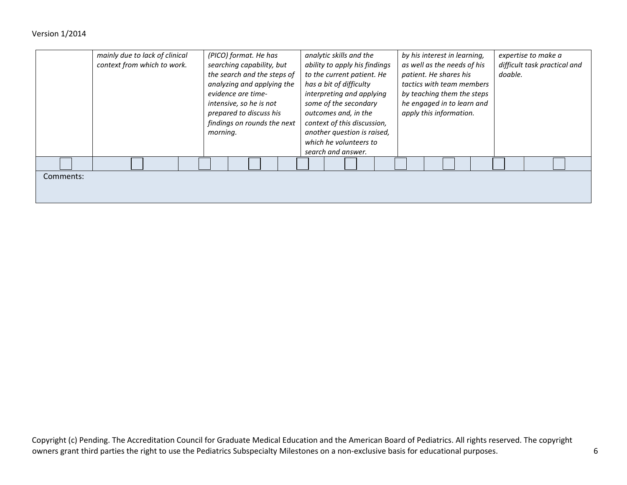#### Version 1/2014

|           | mainly due to lack of clinical<br>context from which to work. | (PICO) format. He has<br>searching capability, but<br>the search and the steps of<br>analyzing and applying the<br>evidence are time-<br>intensive, so he is not<br>prepared to discuss his<br>findings on rounds the next<br>morning. | analytic skills and the<br>ability to apply his findings<br>to the current patient. He<br>has a bit of difficulty<br>interpreting and applying<br>some of the secondary<br>outcomes and, in the<br>context of this discussion,<br>another question is raised,<br>which he volunteers to<br>search and answer. | by his interest in learning,<br>as well as the needs of his<br>patient. He shares his<br>tactics with team members<br>by teaching them the steps<br>he engaged in to learn and<br>apply this information. | expertise to make a<br>difficult task practical and<br>doable. |
|-----------|---------------------------------------------------------------|----------------------------------------------------------------------------------------------------------------------------------------------------------------------------------------------------------------------------------------|---------------------------------------------------------------------------------------------------------------------------------------------------------------------------------------------------------------------------------------------------------------------------------------------------------------|-----------------------------------------------------------------------------------------------------------------------------------------------------------------------------------------------------------|----------------------------------------------------------------|
|           |                                                               |                                                                                                                                                                                                                                        |                                                                                                                                                                                                                                                                                                               |                                                                                                                                                                                                           |                                                                |
| Comments: |                                                               |                                                                                                                                                                                                                                        |                                                                                                                                                                                                                                                                                                               |                                                                                                                                                                                                           |                                                                |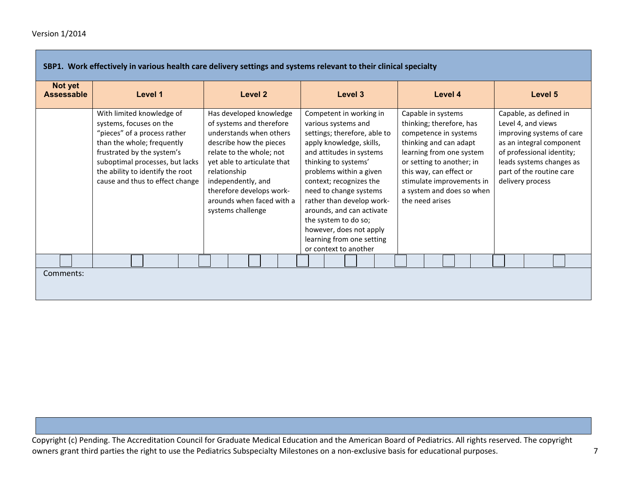|                              | SBP1. Work effectively in various health care delivery settings and systems relevant to their clinical specialty                                                                                                                                           |                                                                                                                                                                                                                                                                                          |                                                                                                                                                                                                                                                                                                                                                                                                                   |                                                                                                                                                                                                                                                                    |                                                                                                                                                                                                                |
|------------------------------|------------------------------------------------------------------------------------------------------------------------------------------------------------------------------------------------------------------------------------------------------------|------------------------------------------------------------------------------------------------------------------------------------------------------------------------------------------------------------------------------------------------------------------------------------------|-------------------------------------------------------------------------------------------------------------------------------------------------------------------------------------------------------------------------------------------------------------------------------------------------------------------------------------------------------------------------------------------------------------------|--------------------------------------------------------------------------------------------------------------------------------------------------------------------------------------------------------------------------------------------------------------------|----------------------------------------------------------------------------------------------------------------------------------------------------------------------------------------------------------------|
| Not yet<br><b>Assessable</b> | Level 1                                                                                                                                                                                                                                                    | Level 2                                                                                                                                                                                                                                                                                  | Level 3                                                                                                                                                                                                                                                                                                                                                                                                           | Level 4                                                                                                                                                                                                                                                            | Level 5                                                                                                                                                                                                        |
|                              | With limited knowledge of<br>systems, focuses on the<br>"pieces" of a process rather<br>than the whole; frequently<br>frustrated by the system's<br>suboptimal processes, but lacks<br>the ability to identify the root<br>cause and thus to effect change | Has developed knowledge<br>of systems and therefore<br>understands when others<br>describe how the pieces<br>relate to the whole; not<br>yet able to articulate that<br>relationship<br>independently, and<br>therefore develops work-<br>arounds when faced with a<br>systems challenge | Competent in working in<br>various systems and<br>settings; therefore, able to<br>apply knowledge, skills,<br>and attitudes in systems<br>thinking to systems'<br>problems within a given<br>context; recognizes the<br>need to change systems<br>rather than develop work-<br>arounds, and can activate<br>the system to do so;<br>however, does not apply<br>learning from one setting<br>or context to another | Capable in systems<br>thinking; therefore, has<br>competence in systems<br>thinking and can adapt<br>learning from one system<br>or setting to another; in<br>this way, can effect or<br>stimulate improvements in<br>a system and does so when<br>the need arises | Capable, as defined in<br>Level 4, and views<br>improving systems of care<br>as an integral component<br>of professional identity;<br>leads systems changes as<br>part of the routine care<br>delivery process |
|                              |                                                                                                                                                                                                                                                            |                                                                                                                                                                                                                                                                                          |                                                                                                                                                                                                                                                                                                                                                                                                                   |                                                                                                                                                                                                                                                                    |                                                                                                                                                                                                                |
| Comments:                    |                                                                                                                                                                                                                                                            |                                                                                                                                                                                                                                                                                          |                                                                                                                                                                                                                                                                                                                                                                                                                   |                                                                                                                                                                                                                                                                    |                                                                                                                                                                                                                |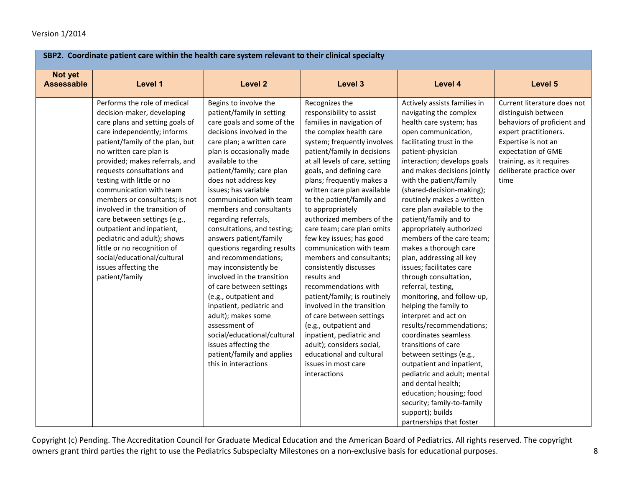| SBP2. Coordinate patient care within the health care system relevant to their clinical specialty |                                                                                                                                                                                                                                                                                                                                                                                                                                                                                                                                                                                           |                                                                                                                                                                                                                                                                                                                                                                                                                                                                                                                                                                                                                                                                                                                                                                    |                                                                                                                                                                                                                                                                                                                                                                                                                                                                                                                                                                                                                                                                                                                                                                                                           |                                                                                                                                                                                                                                                                                                                                                                                                                                                                                                                                                                                                                                                                                                                                                                                                                                                                                                                                                |                                                                                                                                                                                                                         |  |  |  |  |  |  |
|--------------------------------------------------------------------------------------------------|-------------------------------------------------------------------------------------------------------------------------------------------------------------------------------------------------------------------------------------------------------------------------------------------------------------------------------------------------------------------------------------------------------------------------------------------------------------------------------------------------------------------------------------------------------------------------------------------|--------------------------------------------------------------------------------------------------------------------------------------------------------------------------------------------------------------------------------------------------------------------------------------------------------------------------------------------------------------------------------------------------------------------------------------------------------------------------------------------------------------------------------------------------------------------------------------------------------------------------------------------------------------------------------------------------------------------------------------------------------------------|-----------------------------------------------------------------------------------------------------------------------------------------------------------------------------------------------------------------------------------------------------------------------------------------------------------------------------------------------------------------------------------------------------------------------------------------------------------------------------------------------------------------------------------------------------------------------------------------------------------------------------------------------------------------------------------------------------------------------------------------------------------------------------------------------------------|------------------------------------------------------------------------------------------------------------------------------------------------------------------------------------------------------------------------------------------------------------------------------------------------------------------------------------------------------------------------------------------------------------------------------------------------------------------------------------------------------------------------------------------------------------------------------------------------------------------------------------------------------------------------------------------------------------------------------------------------------------------------------------------------------------------------------------------------------------------------------------------------------------------------------------------------|-------------------------------------------------------------------------------------------------------------------------------------------------------------------------------------------------------------------------|--|--|--|--|--|--|
| Not yet<br><b>Assessable</b>                                                                     | Level 1                                                                                                                                                                                                                                                                                                                                                                                                                                                                                                                                                                                   | <b>Level 2</b>                                                                                                                                                                                                                                                                                                                                                                                                                                                                                                                                                                                                                                                                                                                                                     | Level 3                                                                                                                                                                                                                                                                                                                                                                                                                                                                                                                                                                                                                                                                                                                                                                                                   | Level 4                                                                                                                                                                                                                                                                                                                                                                                                                                                                                                                                                                                                                                                                                                                                                                                                                                                                                                                                        | Level 5                                                                                                                                                                                                                 |  |  |  |  |  |  |
|                                                                                                  | Performs the role of medical<br>decision-maker, developing<br>care plans and setting goals of<br>care independently; informs<br>patient/family of the plan, but<br>no written care plan is<br>provided; makes referrals, and<br>requests consultations and<br>testing with little or no<br>communication with team<br>members or consultants; is not<br>involved in the transition of<br>care between settings (e.g.,<br>outpatient and inpatient,<br>pediatric and adult); shows<br>little or no recognition of<br>social/educational/cultural<br>issues affecting the<br>patient/family | Begins to involve the<br>patient/family in setting<br>care goals and some of the<br>decisions involved in the<br>care plan; a written care<br>plan is occasionally made<br>available to the<br>patient/family; care plan<br>does not address key<br>issues; has variable<br>communication with team<br>members and consultants<br>regarding referrals,<br>consultations, and testing;<br>answers patient/family<br>questions regarding results<br>and recommendations;<br>may inconsistently be<br>involved in the transition<br>of care between settings<br>(e.g., outpatient and<br>inpatient, pediatric and<br>adult); makes some<br>assessment of<br>social/educational/cultural<br>issues affecting the<br>patient/family and applies<br>this in interactions | Recognizes the<br>responsibility to assist<br>families in navigation of<br>the complex health care<br>system; frequently involves<br>patient/family in decisions<br>at all levels of care, setting<br>goals, and defining care<br>plans; frequently makes a<br>written care plan available<br>to the patient/family and<br>to appropriately<br>authorized members of the<br>care team; care plan omits<br>few key issues; has good<br>communication with team<br>members and consultants;<br>consistently discusses<br>results and<br>recommendations with<br>patient/family; is routinely<br>involved in the transition<br>of care between settings<br>(e.g., outpatient and<br>inpatient, pediatric and<br>adult); considers social,<br>educational and cultural<br>issues in most care<br>interactions | Actively assists families in<br>navigating the complex<br>health care system; has<br>open communication,<br>facilitating trust in the<br>patient-physician<br>interaction; develops goals<br>and makes decisions jointly<br>with the patient/family<br>(shared-decision-making);<br>routinely makes a written<br>care plan available to the<br>patient/family and to<br>appropriately authorized<br>members of the care team;<br>makes a thorough care<br>plan, addressing all key<br>issues; facilitates care<br>through consultation,<br>referral, testing,<br>monitoring, and follow-up,<br>helping the family to<br>interpret and act on<br>results/recommendations;<br>coordinates seamless<br>transitions of care<br>between settings (e.g.,<br>outpatient and inpatient,<br>pediatric and adult; mental<br>and dental health;<br>education; housing; food<br>security; family-to-family<br>support); builds<br>partnerships that foster | Current literature does not<br>distinguish between<br>behaviors of proficient and<br>expert practitioners.<br>Expertise is not an<br>expectation of GME<br>training, as it requires<br>deliberate practice over<br>time |  |  |  |  |  |  |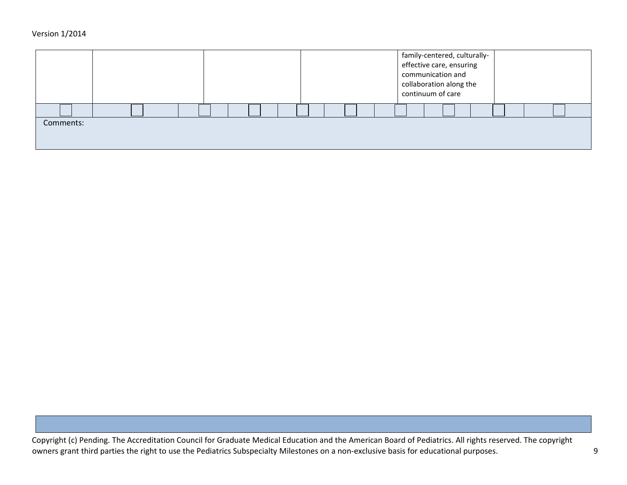|           |  |  |  |  | family-centered, culturally-<br>effective care, ensuring<br>communication and<br>collaboration along the<br>continuum of care |  |  |  |
|-----------|--|--|--|--|-------------------------------------------------------------------------------------------------------------------------------|--|--|--|
|           |  |  |  |  |                                                                                                                               |  |  |  |
| Comments: |  |  |  |  |                                                                                                                               |  |  |  |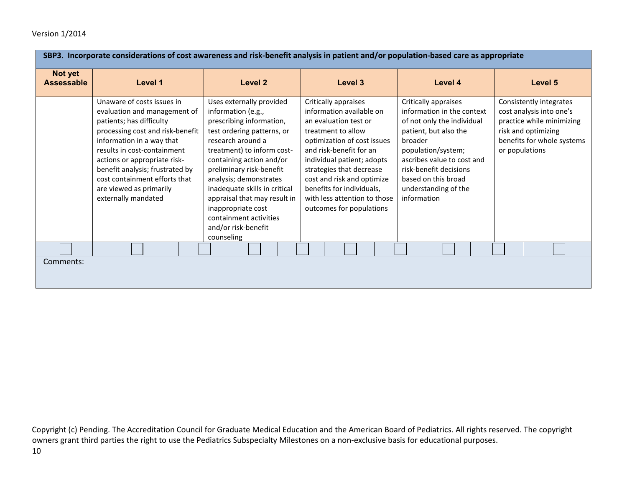| SBP3. Incorporate considerations of cost awareness and risk-benefit analysis in patient and/or population-based care as appropriate |                                                                                                                                                                                                                                                                                                                                              |                                                                                                                                                                                                                                                                                                                                                                                                     |                                                                                                                                                                                                                                                                                                                                            |                                                                                                                                                                                                                                                                  |                                                                                                                                                         |  |  |  |  |  |
|-------------------------------------------------------------------------------------------------------------------------------------|----------------------------------------------------------------------------------------------------------------------------------------------------------------------------------------------------------------------------------------------------------------------------------------------------------------------------------------------|-----------------------------------------------------------------------------------------------------------------------------------------------------------------------------------------------------------------------------------------------------------------------------------------------------------------------------------------------------------------------------------------------------|--------------------------------------------------------------------------------------------------------------------------------------------------------------------------------------------------------------------------------------------------------------------------------------------------------------------------------------------|------------------------------------------------------------------------------------------------------------------------------------------------------------------------------------------------------------------------------------------------------------------|---------------------------------------------------------------------------------------------------------------------------------------------------------|--|--|--|--|--|
| Not yet<br><b>Assessable</b>                                                                                                        | Level 1                                                                                                                                                                                                                                                                                                                                      | Level 2                                                                                                                                                                                                                                                                                                                                                                                             | Level 3                                                                                                                                                                                                                                                                                                                                    | Level 4                                                                                                                                                                                                                                                          | Level 5                                                                                                                                                 |  |  |  |  |  |
|                                                                                                                                     | Unaware of costs issues in<br>evaluation and management of<br>patients; has difficulty<br>processing cost and risk-benefit<br>information in a way that<br>results in cost-containment<br>actions or appropriate risk-<br>benefit analysis; frustrated by<br>cost containment efforts that<br>are viewed as primarily<br>externally mandated | Uses externally provided<br>information (e.g.,<br>prescribing information,<br>test ordering patterns, or<br>research around a<br>treatment) to inform cost-<br>containing action and/or<br>preliminary risk-benefit<br>analysis; demonstrates<br>inadequate skills in critical<br>appraisal that may result in<br>inappropriate cost<br>containment activities<br>and/or risk-benefit<br>counseling | Critically appraises<br>information available on<br>an evaluation test or<br>treatment to allow<br>optimization of cost issues<br>and risk-benefit for an<br>individual patient; adopts<br>strategies that decrease<br>cost and risk and optimize<br>benefits for individuals,<br>with less attention to those<br>outcomes for populations | Critically appraises<br>information in the context<br>of not only the individual<br>patient, but also the<br>broader<br>population/system;<br>ascribes value to cost and<br>risk-benefit decisions<br>based on this broad<br>understanding of the<br>information | Consistently integrates<br>cost analysis into one's<br>practice while minimizing<br>risk and optimizing<br>benefits for whole systems<br>or populations |  |  |  |  |  |
| Comments:                                                                                                                           |                                                                                                                                                                                                                                                                                                                                              |                                                                                                                                                                                                                                                                                                                                                                                                     |                                                                                                                                                                                                                                                                                                                                            |                                                                                                                                                                                                                                                                  |                                                                                                                                                         |  |  |  |  |  |
|                                                                                                                                     |                                                                                                                                                                                                                                                                                                                                              |                                                                                                                                                                                                                                                                                                                                                                                                     |                                                                                                                                                                                                                                                                                                                                            |                                                                                                                                                                                                                                                                  |                                                                                                                                                         |  |  |  |  |  |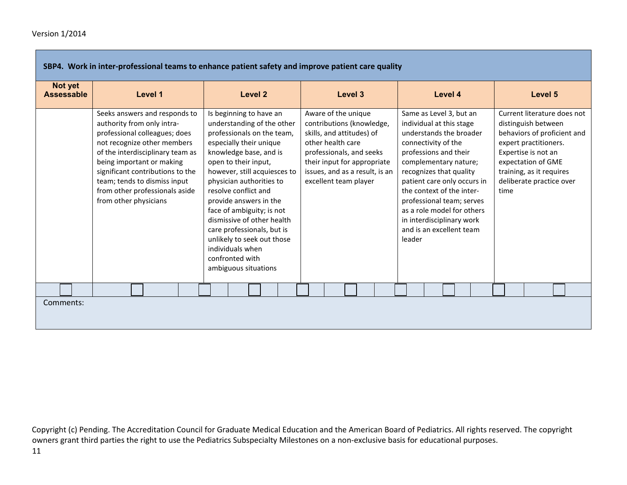|                              | SBP4. Work in inter-professional teams to enhance patient safety and improve patient care quality                                                                                                                                                                                                                           |                                                                                                                                                                                                                                                                                                                                                                                                                                                                      |                                                                                                                                                                                                                          |                                                                                                                                                                                                                                                                                                                                                                              |                                                                                                                                                                                                                         |
|------------------------------|-----------------------------------------------------------------------------------------------------------------------------------------------------------------------------------------------------------------------------------------------------------------------------------------------------------------------------|----------------------------------------------------------------------------------------------------------------------------------------------------------------------------------------------------------------------------------------------------------------------------------------------------------------------------------------------------------------------------------------------------------------------------------------------------------------------|--------------------------------------------------------------------------------------------------------------------------------------------------------------------------------------------------------------------------|------------------------------------------------------------------------------------------------------------------------------------------------------------------------------------------------------------------------------------------------------------------------------------------------------------------------------------------------------------------------------|-------------------------------------------------------------------------------------------------------------------------------------------------------------------------------------------------------------------------|
| Not yet<br><b>Assessable</b> | Level 1                                                                                                                                                                                                                                                                                                                     | Level 2                                                                                                                                                                                                                                                                                                                                                                                                                                                              | Level 3                                                                                                                                                                                                                  | Level 4                                                                                                                                                                                                                                                                                                                                                                      | Level 5                                                                                                                                                                                                                 |
|                              | Seeks answers and responds to<br>authority from only intra-<br>professional colleagues; does<br>not recognize other members<br>of the interdisciplinary team as<br>being important or making<br>significant contributions to the<br>team; tends to dismiss input<br>from other professionals aside<br>from other physicians | Is beginning to have an<br>understanding of the other<br>professionals on the team,<br>especially their unique<br>knowledge base, and is<br>open to their input,<br>however, still acquiesces to<br>physician authorities to<br>resolve conflict and<br>provide answers in the<br>face of ambiguity; is not<br>dismissive of other health<br>care professionals, but is<br>unlikely to seek out those<br>individuals when<br>confronted with<br>ambiguous situations | Aware of the unique<br>contributions (knowledge,<br>skills, and attitudes) of<br>other health care<br>professionals, and seeks<br>their input for appropriate<br>issues, and as a result, is an<br>excellent team player | Same as Level 3, but an<br>individual at this stage<br>understands the broader<br>connectivity of the<br>professions and their<br>complementary nature;<br>recognizes that quality<br>patient care only occurs in<br>the context of the inter-<br>professional team; serves<br>as a role model for others<br>in interdisciplinary work<br>and is an excellent team<br>leader | Current literature does not<br>distinguish between<br>behaviors of proficient and<br>expert practitioners.<br>Expertise is not an<br>expectation of GME<br>training, as it requires<br>deliberate practice over<br>time |
|                              |                                                                                                                                                                                                                                                                                                                             |                                                                                                                                                                                                                                                                                                                                                                                                                                                                      |                                                                                                                                                                                                                          |                                                                                                                                                                                                                                                                                                                                                                              |                                                                                                                                                                                                                         |
| Comments:                    |                                                                                                                                                                                                                                                                                                                             |                                                                                                                                                                                                                                                                                                                                                                                                                                                                      |                                                                                                                                                                                                                          |                                                                                                                                                                                                                                                                                                                                                                              |                                                                                                                                                                                                                         |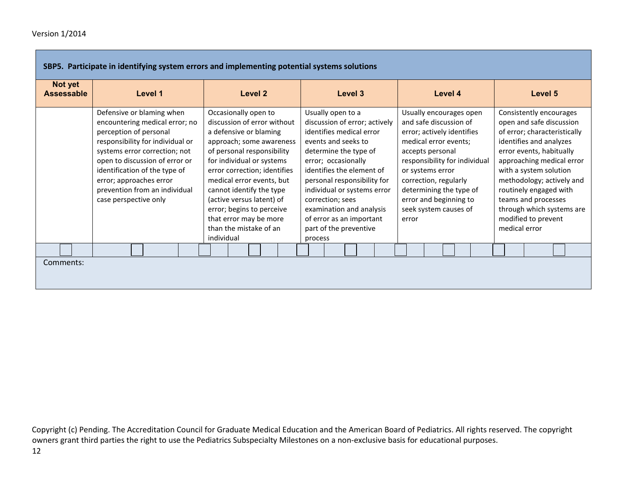| SBP5. Participate in identifying system errors and implementing potential systems solutions |                                                                                                                                                                                                                                                                                                                    |                                                                                                                                                                                                                                                                                                                                                                                           |                                                                                                                                                                                                                                                                                                                                                                   |                                                                                                                                                                                                                                                                                                   |                                                                                                                                                                                                                                                                                                                                                      |  |  |  |
|---------------------------------------------------------------------------------------------|--------------------------------------------------------------------------------------------------------------------------------------------------------------------------------------------------------------------------------------------------------------------------------------------------------------------|-------------------------------------------------------------------------------------------------------------------------------------------------------------------------------------------------------------------------------------------------------------------------------------------------------------------------------------------------------------------------------------------|-------------------------------------------------------------------------------------------------------------------------------------------------------------------------------------------------------------------------------------------------------------------------------------------------------------------------------------------------------------------|---------------------------------------------------------------------------------------------------------------------------------------------------------------------------------------------------------------------------------------------------------------------------------------------------|------------------------------------------------------------------------------------------------------------------------------------------------------------------------------------------------------------------------------------------------------------------------------------------------------------------------------------------------------|--|--|--|
| Not yet<br><b>Assessable</b>                                                                | Level 1                                                                                                                                                                                                                                                                                                            | <b>Level 2</b>                                                                                                                                                                                                                                                                                                                                                                            | <b>Level 3</b>                                                                                                                                                                                                                                                                                                                                                    | Level 4                                                                                                                                                                                                                                                                                           | Level 5                                                                                                                                                                                                                                                                                                                                              |  |  |  |
|                                                                                             | Defensive or blaming when<br>encountering medical error; no<br>perception of personal<br>responsibility for individual or<br>systems error correction; not<br>open to discussion of error or<br>identification of the type of<br>error; approaches error<br>prevention from an individual<br>case perspective only | Occasionally open to<br>discussion of error without<br>a defensive or blaming<br>approach; some awareness<br>of personal responsibility<br>for individual or systems<br>error correction; identifies<br>medical error events, but<br>cannot identify the type<br>(active versus latent) of<br>error; begins to perceive<br>that error may be more<br>than the mistake of an<br>individual | Usually open to a<br>discussion of error; actively<br>identifies medical error<br>events and seeks to<br>determine the type of<br>error; occasionally<br>identifies the element of<br>personal responsibility for<br>individual or systems error<br>correction; sees<br>examination and analysis<br>of error as an important<br>part of the preventive<br>process | Usually encourages open<br>and safe discussion of<br>error; actively identifies<br>medical error events;<br>accepts personal<br>responsibility for individual<br>or systems error<br>correction, regularly<br>determining the type of<br>error and beginning to<br>seek system causes of<br>error | Consistently encourages<br>open and safe discussion<br>of error; characteristically<br>identifies and analyzes<br>error events, habitually<br>approaching medical error<br>with a system solution<br>methodology; actively and<br>routinely engaged with<br>teams and processes<br>through which systems are<br>modified to prevent<br>medical error |  |  |  |
|                                                                                             |                                                                                                                                                                                                                                                                                                                    |                                                                                                                                                                                                                                                                                                                                                                                           |                                                                                                                                                                                                                                                                                                                                                                   |                                                                                                                                                                                                                                                                                                   |                                                                                                                                                                                                                                                                                                                                                      |  |  |  |
| Comments:                                                                                   |                                                                                                                                                                                                                                                                                                                    |                                                                                                                                                                                                                                                                                                                                                                                           |                                                                                                                                                                                                                                                                                                                                                                   |                                                                                                                                                                                                                                                                                                   |                                                                                                                                                                                                                                                                                                                                                      |  |  |  |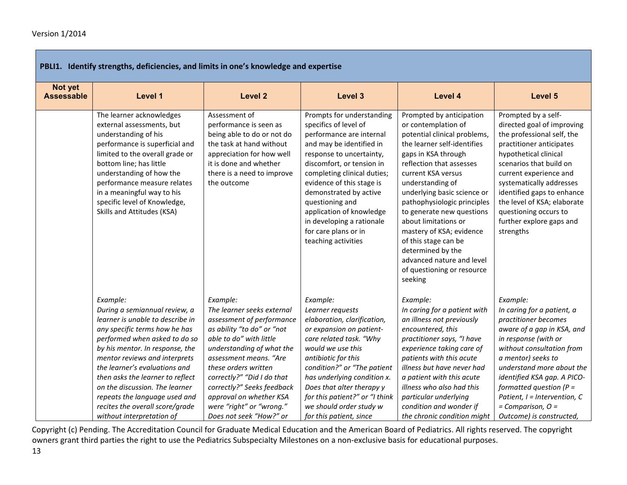| PBLI1. Identify strengths, deficiencies, and limits in one's knowledge and expertise |                                                                                                                                                                                                                                                                                                                                                                                                                             |                                                                                                                                                                                                                                                                                                                                                           |                                                                                                                                                                                                                                                                                                                                                                                      |                                                                                                                                                                                                                                                                                                                                                                                                                                                                               |                                                                                                                                                                                                                                                                                                                                                            |  |  |  |  |  |
|--------------------------------------------------------------------------------------|-----------------------------------------------------------------------------------------------------------------------------------------------------------------------------------------------------------------------------------------------------------------------------------------------------------------------------------------------------------------------------------------------------------------------------|-----------------------------------------------------------------------------------------------------------------------------------------------------------------------------------------------------------------------------------------------------------------------------------------------------------------------------------------------------------|--------------------------------------------------------------------------------------------------------------------------------------------------------------------------------------------------------------------------------------------------------------------------------------------------------------------------------------------------------------------------------------|-------------------------------------------------------------------------------------------------------------------------------------------------------------------------------------------------------------------------------------------------------------------------------------------------------------------------------------------------------------------------------------------------------------------------------------------------------------------------------|------------------------------------------------------------------------------------------------------------------------------------------------------------------------------------------------------------------------------------------------------------------------------------------------------------------------------------------------------------|--|--|--|--|--|
| Not yet<br><b>Assessable</b>                                                         | Level 1                                                                                                                                                                                                                                                                                                                                                                                                                     | <b>Level 2</b>                                                                                                                                                                                                                                                                                                                                            | Level 3                                                                                                                                                                                                                                                                                                                                                                              | Level 4                                                                                                                                                                                                                                                                                                                                                                                                                                                                       | Level 5                                                                                                                                                                                                                                                                                                                                                    |  |  |  |  |  |
|                                                                                      | The learner acknowledges<br>external assessments, but<br>understanding of his<br>performance is superficial and<br>limited to the overall grade or<br>bottom line; has little<br>understanding of how the<br>performance measure relates<br>in a meaningful way to his<br>specific level of Knowledge,<br>Skills and Attitudes (KSA)                                                                                        | Assessment of<br>performance is seen as<br>being able to do or not do<br>the task at hand without<br>appreciation for how well<br>it is done and whether<br>there is a need to improve<br>the outcome                                                                                                                                                     | Prompts for understanding<br>specifics of level of<br>performance are internal<br>and may be identified in<br>response to uncertainty,<br>discomfort, or tension in<br>completing clinical duties;<br>evidence of this stage is<br>demonstrated by active<br>questioning and<br>application of knowledge<br>in developing a rationale<br>for care plans or in<br>teaching activities | Prompted by anticipation<br>or contemplation of<br>potential clinical problems,<br>the learner self-identifies<br>gaps in KSA through<br>reflection that assesses<br>current KSA versus<br>understanding of<br>underlying basic science or<br>pathophysiologic principles<br>to generate new questions<br>about limitations or<br>mastery of KSA; evidence<br>of this stage can be<br>determined by the<br>advanced nature and level<br>of questioning or resource<br>seeking | Prompted by a self-<br>directed goal of improving<br>the professional self, the<br>practitioner anticipates<br>hypothetical clinical<br>scenarios that build on<br>current experience and<br>systematically addresses<br>identified gaps to enhance<br>the level of KSA; elaborate<br>questioning occurs to<br>further explore gaps and<br>strengths       |  |  |  |  |  |
|                                                                                      | Example:<br>During a semiannual review, a<br>learner is unable to describe in<br>any specific terms how he has<br>performed when asked to do so<br>by his mentor. In response, the<br>mentor reviews and interprets<br>the learner's evaluations and<br>then asks the learner to reflect<br>on the discussion. The learner<br>repeats the language used and<br>recites the overall score/grade<br>without interpretation of | Example:<br>The learner seeks external<br>assessment of performance<br>as ability "to do" or "not<br>able to do" with little<br>understanding of what the<br>assessment means. "Are<br>these orders written<br>correctly?" "Did I do that<br>correctly?" Seeks feedback<br>approval on whether KSA<br>were "right" or "wrong."<br>Does not seek "How?" or | Example:<br>Learner requests<br>elaboration, clarification,<br>or expansion on patient-<br>care related task. "Why<br>would we use this<br>antibiotic for this<br>condition?" or "The patient<br>has underlying condition x.<br>Does that alter therapy y<br>for this patient?" or "I think<br>we should order study w<br>for this patient, since                                    | Example:<br>In caring for a patient with<br>an illness not previously<br>encountered, this<br>practitioner says, "I have<br>experience taking care of<br>patients with this acute<br>illness but have never had<br>a patient with this acute<br>illness who also had this<br>particular underlying<br>condition and wonder if<br>the chronic condition might                                                                                                                  | Example:<br>In caring for a patient, a<br>practitioner becomes<br>aware of a gap in KSA, and<br>in response (with or<br>without consultation from<br>a mentor) seeks to<br>understand more about the<br>identified KSA gap. A PICO-<br>formatted question ( $P =$<br>Patient, $I =$ Intervention, $C$<br>$=$ Comparison, $O =$<br>Outcome) is constructed, |  |  |  |  |  |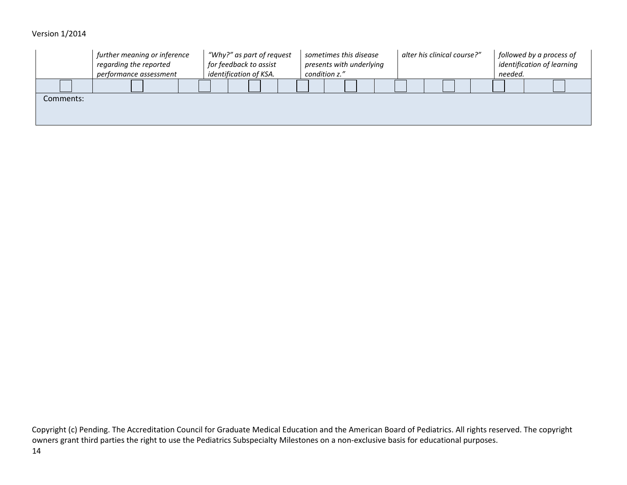#### Version 1/2014

|           | further meaning or inference<br>regarding the reported<br>performance assessment | "Why?" as part of request<br>for feedback to assist<br>identification of KSA. | sometimes this disease<br>presents with underlying<br>condition z." | alter his clinical course?" | followed by a process of<br>identification of learning<br>needed. |
|-----------|----------------------------------------------------------------------------------|-------------------------------------------------------------------------------|---------------------------------------------------------------------|-----------------------------|-------------------------------------------------------------------|
|           |                                                                                  |                                                                               |                                                                     |                             |                                                                   |
| Comments: |                                                                                  |                                                                               |                                                                     |                             |                                                                   |
|           |                                                                                  |                                                                               |                                                                     |                             |                                                                   |
|           |                                                                                  |                                                                               |                                                                     |                             |                                                                   |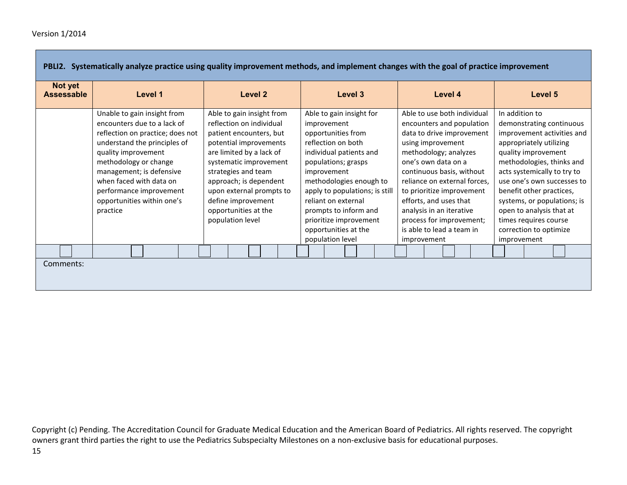| PBLI2. Systematically analyze practice using quality improvement methods, and implement changes with the goal of practice improvement |                                  |                           |                                |                              |                             |  |  |  |
|---------------------------------------------------------------------------------------------------------------------------------------|----------------------------------|---------------------------|--------------------------------|------------------------------|-----------------------------|--|--|--|
| Not yet<br><b>Assessable</b>                                                                                                          | Level 1                          | Level 2                   | <b>Level 3</b>                 | Level 4                      | Level 5                     |  |  |  |
|                                                                                                                                       | Unable to gain insight from      | Able to gain insight from | Able to gain insight for       | Able to use both individual  | In addition to              |  |  |  |
|                                                                                                                                       | encounters due to a lack of      | reflection on individual  | improvement                    | encounters and population    | demonstrating continuous    |  |  |  |
|                                                                                                                                       | reflection on practice; does not | patient encounters, but   | opportunities from             | data to drive improvement    | improvement activities and  |  |  |  |
|                                                                                                                                       | understand the principles of     | potential improvements    | reflection on both             | using improvement            | appropriately utilizing     |  |  |  |
|                                                                                                                                       | quality improvement              | are limited by a lack of  | individual patients and        | methodology; analyzes        | quality improvement         |  |  |  |
|                                                                                                                                       | methodology or change            | systematic improvement    | populations; grasps            | one's own data on a          | methodologies, thinks and   |  |  |  |
|                                                                                                                                       | management; is defensive         | strategies and team       | improvement                    | continuous basis, without    | acts systemically to try to |  |  |  |
|                                                                                                                                       | when faced with data on          | approach; is dependent    | methodologies enough to        | reliance on external forces, | use one's own successes to  |  |  |  |
|                                                                                                                                       | performance improvement          | upon external prompts to  | apply to populations; is still | to prioritize improvement    | benefit other practices,    |  |  |  |
|                                                                                                                                       | opportunities within one's       | define improvement        | reliant on external            | efforts, and uses that       | systems, or populations; is |  |  |  |
|                                                                                                                                       | practice                         | opportunities at the      | prompts to inform and          | analysis in an iterative     | open to analysis that at    |  |  |  |
|                                                                                                                                       |                                  | population level          | prioritize improvement         | process for improvement;     | times requires course       |  |  |  |
|                                                                                                                                       |                                  |                           | opportunities at the           | is able to lead a team in    | correction to optimize      |  |  |  |
|                                                                                                                                       |                                  |                           | population level               | improvement                  | improvement                 |  |  |  |
|                                                                                                                                       |                                  |                           |                                |                              |                             |  |  |  |
| Comments:                                                                                                                             |                                  |                           |                                |                              |                             |  |  |  |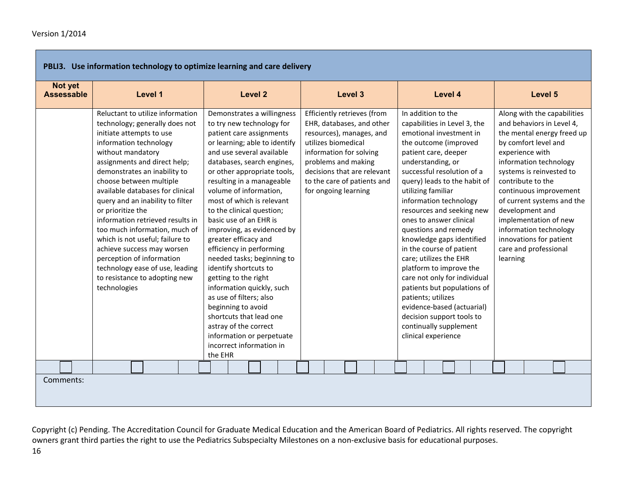|                              | PBLI3. Use information technology to optimize learning and care delivery                                                                                                                                                                                                                                                                                                                                                                                                                                                                                                                     |         |         |                                                                                                                                                                                                                                                                                                                                                                                                                                                                                                                                                                                                                                                                                                                       |  |                                                                                                                                                                                                                                                     |         |                                                                                                                                                                                                                                                                                                                                                                                                                                                                           |         |                                                                                                                                                                                     |          |                                                                                                                                                                                                                                                                                                                                                                                                |  |
|------------------------------|----------------------------------------------------------------------------------------------------------------------------------------------------------------------------------------------------------------------------------------------------------------------------------------------------------------------------------------------------------------------------------------------------------------------------------------------------------------------------------------------------------------------------------------------------------------------------------------------|---------|---------|-----------------------------------------------------------------------------------------------------------------------------------------------------------------------------------------------------------------------------------------------------------------------------------------------------------------------------------------------------------------------------------------------------------------------------------------------------------------------------------------------------------------------------------------------------------------------------------------------------------------------------------------------------------------------------------------------------------------------|--|-----------------------------------------------------------------------------------------------------------------------------------------------------------------------------------------------------------------------------------------------------|---------|---------------------------------------------------------------------------------------------------------------------------------------------------------------------------------------------------------------------------------------------------------------------------------------------------------------------------------------------------------------------------------------------------------------------------------------------------------------------------|---------|-------------------------------------------------------------------------------------------------------------------------------------------------------------------------------------|----------|------------------------------------------------------------------------------------------------------------------------------------------------------------------------------------------------------------------------------------------------------------------------------------------------------------------------------------------------------------------------------------------------|--|
| Not yet<br><b>Assessable</b> |                                                                                                                                                                                                                                                                                                                                                                                                                                                                                                                                                                                              | Level 1 |         | <b>Level 2</b>                                                                                                                                                                                                                                                                                                                                                                                                                                                                                                                                                                                                                                                                                                        |  |                                                                                                                                                                                                                                                     | Level 3 |                                                                                                                                                                                                                                                                                                                                                                                                                                                                           | Level 4 |                                                                                                                                                                                     |          | Level 5                                                                                                                                                                                                                                                                                                                                                                                        |  |
|                              | Reluctant to utilize information<br>technology; generally does not<br>initiate attempts to use<br>information technology<br>without mandatory<br>assignments and direct help;<br>demonstrates an inability to<br>choose between multiple<br>available databases for clinical<br>query and an inability to filter<br>or prioritize the<br>information retrieved results in<br>too much information, much of<br>which is not useful; failure to<br>achieve success may worsen<br>perception of information<br>technology ease of use, leading<br>to resistance to adopting new<br>technologies |         | the EHR | Demonstrates a willingness<br>to try new technology for<br>patient care assignments<br>or learning; able to identify<br>and use several available<br>databases, search engines,<br>or other appropriate tools,<br>resulting in a manageable<br>volume of information,<br>most of which is relevant<br>to the clinical question;<br>basic use of an EHR is<br>improving, as evidenced by<br>greater efficacy and<br>efficiency in performing<br>needed tasks; beginning to<br>identify shortcuts to<br>getting to the right<br>information quickly, such<br>as use of filters; also<br>beginning to avoid<br>shortcuts that lead one<br>astray of the correct<br>information or perpetuate<br>incorrect information in |  | Efficiently retrieves (from<br>EHR, databases, and other<br>resources), manages, and<br>utilizes biomedical<br>information for solving<br>problems and making<br>decisions that are relevant<br>to the care of patients and<br>for ongoing learning |         | In addition to the<br>capabilities in Level 3, the<br>emotional investment in<br>the outcome (improved<br>patient care, deeper<br>understanding, or<br>successful resolution of a<br>utilizing familiar<br>information technology<br>ones to answer clinical<br>questions and remedy<br>in the course of patient<br>care; utilizes the EHR<br>platform to improve the<br>patients; utilizes<br>decision support tools to<br>continually supplement<br>clinical experience |         | query) leads to the habit of<br>resources and seeking new<br>knowledge gaps identified<br>care not only for individual<br>patients but populations of<br>evidence-based (actuarial) | learning | Along with the capabilities<br>and behaviors in Level 4,<br>the mental energy freed up<br>by comfort level and<br>experience with<br>information technology<br>systems is reinvested to<br>contribute to the<br>continuous improvement<br>of current systems and the<br>development and<br>implementation of new<br>information technology<br>innovations for patient<br>care and professional |  |
| Comments:                    |                                                                                                                                                                                                                                                                                                                                                                                                                                                                                                                                                                                              |         |         |                                                                                                                                                                                                                                                                                                                                                                                                                                                                                                                                                                                                                                                                                                                       |  |                                                                                                                                                                                                                                                     |         |                                                                                                                                                                                                                                                                                                                                                                                                                                                                           |         |                                                                                                                                                                                     |          |                                                                                                                                                                                                                                                                                                                                                                                                |  |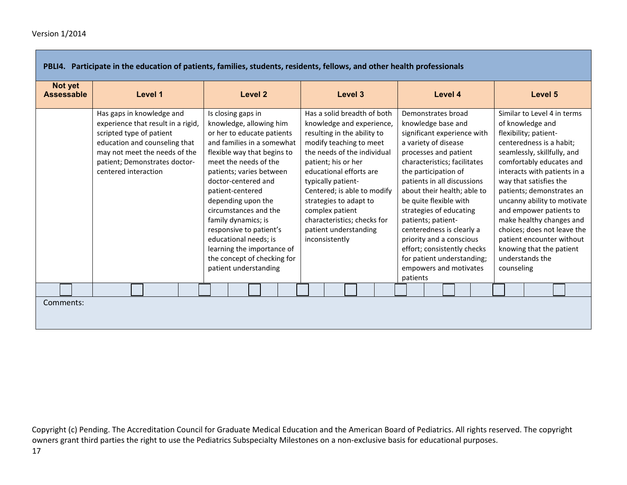| PBLI4. Participate in the education of patients, families, students, residents, fellows, and other health professionals |                                                                                                                                                                                                                        |                                                                                                                                                                                                                                                                                                                                                                                                                                                          |                                                                                                                                                                                                                                                                                                                                                                                 |                                                                                                                                                                                                                                                                                                                                                                                                                                                                                       |                                                                                                                                                                                                                                                                                                                                                                                                                                                                       |  |  |  |
|-------------------------------------------------------------------------------------------------------------------------|------------------------------------------------------------------------------------------------------------------------------------------------------------------------------------------------------------------------|----------------------------------------------------------------------------------------------------------------------------------------------------------------------------------------------------------------------------------------------------------------------------------------------------------------------------------------------------------------------------------------------------------------------------------------------------------|---------------------------------------------------------------------------------------------------------------------------------------------------------------------------------------------------------------------------------------------------------------------------------------------------------------------------------------------------------------------------------|---------------------------------------------------------------------------------------------------------------------------------------------------------------------------------------------------------------------------------------------------------------------------------------------------------------------------------------------------------------------------------------------------------------------------------------------------------------------------------------|-----------------------------------------------------------------------------------------------------------------------------------------------------------------------------------------------------------------------------------------------------------------------------------------------------------------------------------------------------------------------------------------------------------------------------------------------------------------------|--|--|--|
| Not yet<br><b>Assessable</b>                                                                                            | Level 1                                                                                                                                                                                                                | Level 2                                                                                                                                                                                                                                                                                                                                                                                                                                                  | Level 3                                                                                                                                                                                                                                                                                                                                                                         | Level 4                                                                                                                                                                                                                                                                                                                                                                                                                                                                               | Level 5                                                                                                                                                                                                                                                                                                                                                                                                                                                               |  |  |  |
|                                                                                                                         | Has gaps in knowledge and<br>experience that result in a rigid,<br>scripted type of patient<br>education and counseling that<br>may not meet the needs of the<br>patient; Demonstrates doctor-<br>centered interaction | Is closing gaps in<br>knowledge, allowing him<br>or her to educate patients<br>and families in a somewhat<br>flexible way that begins to<br>meet the needs of the<br>patients; varies between<br>doctor-centered and<br>patient-centered<br>depending upon the<br>circumstances and the<br>family dynamics; is<br>responsive to patient's<br>educational needs; is<br>learning the importance of<br>the concept of checking for<br>patient understanding | Has a solid breadth of both<br>knowledge and experience,<br>resulting in the ability to<br>modify teaching to meet<br>the needs of the individual<br>patient; his or her<br>educational efforts are<br>typically patient-<br>Centered; is able to modify<br>strategies to adapt to<br>complex patient<br>characteristics; checks for<br>patient understanding<br>inconsistently | Demonstrates broad<br>knowledge base and<br>significant experience with<br>a variety of disease<br>processes and patient<br>characteristics; facilitates<br>the participation of<br>patients in all discussions<br>about their health; able to<br>be quite flexible with<br>strategies of educating<br>patients; patient-<br>centeredness is clearly a<br>priority and a conscious<br>effort; consistently checks<br>for patient understanding;<br>empowers and motivates<br>patients | Similar to Level 4 in terms<br>of knowledge and<br>flexibility; patient-<br>centeredness is a habit;<br>seamlessly, skillfully, and<br>comfortably educates and<br>interacts with patients in a<br>way that satisfies the<br>patients; demonstrates an<br>uncanny ability to motivate<br>and empower patients to<br>make healthy changes and<br>choices; does not leave the<br>patient encounter without<br>knowing that the patient<br>understands the<br>counseling |  |  |  |
|                                                                                                                         |                                                                                                                                                                                                                        |                                                                                                                                                                                                                                                                                                                                                                                                                                                          |                                                                                                                                                                                                                                                                                                                                                                                 |                                                                                                                                                                                                                                                                                                                                                                                                                                                                                       |                                                                                                                                                                                                                                                                                                                                                                                                                                                                       |  |  |  |
| Comments:                                                                                                               |                                                                                                                                                                                                                        |                                                                                                                                                                                                                                                                                                                                                                                                                                                          |                                                                                                                                                                                                                                                                                                                                                                                 |                                                                                                                                                                                                                                                                                                                                                                                                                                                                                       |                                                                                                                                                                                                                                                                                                                                                                                                                                                                       |  |  |  |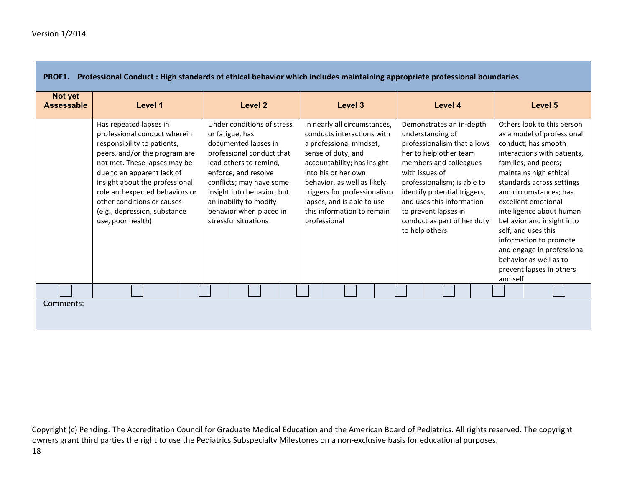| Not yet<br><b>Assessable</b> | Level 1                                                                                                                                                                                                                                                                                                                                     | Level 2                                                                                                                                                                                                                                                                                     | Level 3                                                                                                                                                                                                                                                                                                      | Level 4                                                                                                                                                                                                                                                                                                                | Level 5                                                                                                                                                                                                                                                                                                                                                                                                                                                  |
|------------------------------|---------------------------------------------------------------------------------------------------------------------------------------------------------------------------------------------------------------------------------------------------------------------------------------------------------------------------------------------|---------------------------------------------------------------------------------------------------------------------------------------------------------------------------------------------------------------------------------------------------------------------------------------------|--------------------------------------------------------------------------------------------------------------------------------------------------------------------------------------------------------------------------------------------------------------------------------------------------------------|------------------------------------------------------------------------------------------------------------------------------------------------------------------------------------------------------------------------------------------------------------------------------------------------------------------------|----------------------------------------------------------------------------------------------------------------------------------------------------------------------------------------------------------------------------------------------------------------------------------------------------------------------------------------------------------------------------------------------------------------------------------------------------------|
|                              | Has repeated lapses in<br>professional conduct wherein<br>responsibility to patients,<br>peers, and/or the program are<br>not met. These lapses may be<br>due to an apparent lack of<br>insight about the professional<br>role and expected behaviors or<br>other conditions or causes<br>(e.g., depression, substance<br>use, poor health) | Under conditions of stress<br>or fatigue, has<br>documented lapses in<br>professional conduct that<br>lead others to remind,<br>enforce, and resolve<br>conflicts; may have some<br>insight into behavior, but<br>an inability to modify<br>behavior when placed in<br>stressful situations | In nearly all circumstances,<br>conducts interactions with<br>a professional mindset,<br>sense of duty, and<br>accountability; has insight<br>into his or her own<br>behavior, as well as likely<br>triggers for professionalism<br>lapses, and is able to use<br>this information to remain<br>professional | Demonstrates an in-depth<br>understanding of<br>professionalism that allows<br>her to help other team<br>members and colleagues<br>with issues of<br>professionalism; is able to<br>identify potential triggers,<br>and uses this information<br>to prevent lapses in<br>conduct as part of her duty<br>to help others | Others look to this person<br>as a model of professional<br>conduct; has smooth<br>interactions with patients,<br>families, and peers;<br>maintains high ethical<br>standards across settings<br>and circumstances; has<br>excellent emotional<br>intelligence about human<br>behavior and insight into<br>self, and uses this<br>information to promote<br>and engage in professional<br>behavior as well as to<br>prevent lapses in others<br>and self |
|                              |                                                                                                                                                                                                                                                                                                                                             |                                                                                                                                                                                                                                                                                             |                                                                                                                                                                                                                                                                                                              |                                                                                                                                                                                                                                                                                                                        |                                                                                                                                                                                                                                                                                                                                                                                                                                                          |
| Comments:                    |                                                                                                                                                                                                                                                                                                                                             |                                                                                                                                                                                                                                                                                             |                                                                                                                                                                                                                                                                                                              |                                                                                                                                                                                                                                                                                                                        |                                                                                                                                                                                                                                                                                                                                                                                                                                                          |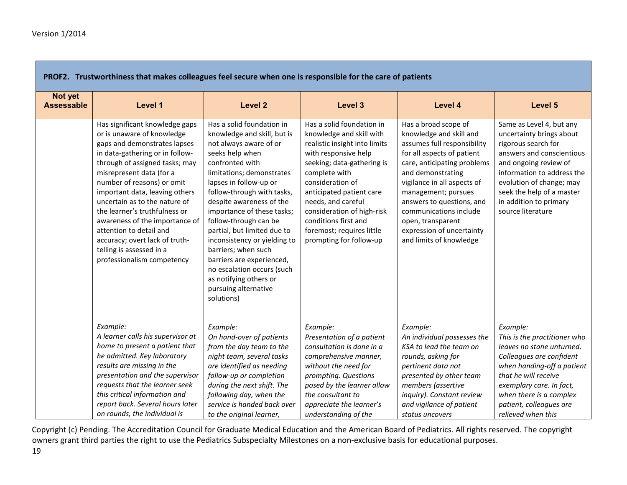| PROF2. Trustworthiness that makes colleagues feel secure when one is responsible for the care of patients |                                                                                                                                                                                                                                                                                                                                                                                                                                                                                          |                                                                                                                                                                                                                                                                                                                                                                                                                                                                                                                   |                                                                                                                                                                                                                                                                                                                                                   |                                                                                                                                                                                                                                                                                                                                                            |                                                                                                                                                                                                                                                                         |  |  |  |  |  |
|-----------------------------------------------------------------------------------------------------------|------------------------------------------------------------------------------------------------------------------------------------------------------------------------------------------------------------------------------------------------------------------------------------------------------------------------------------------------------------------------------------------------------------------------------------------------------------------------------------------|-------------------------------------------------------------------------------------------------------------------------------------------------------------------------------------------------------------------------------------------------------------------------------------------------------------------------------------------------------------------------------------------------------------------------------------------------------------------------------------------------------------------|---------------------------------------------------------------------------------------------------------------------------------------------------------------------------------------------------------------------------------------------------------------------------------------------------------------------------------------------------|------------------------------------------------------------------------------------------------------------------------------------------------------------------------------------------------------------------------------------------------------------------------------------------------------------------------------------------------------------|-------------------------------------------------------------------------------------------------------------------------------------------------------------------------------------------------------------------------------------------------------------------------|--|--|--|--|--|
| Not yet<br><b>Assessable</b>                                                                              | Level 1                                                                                                                                                                                                                                                                                                                                                                                                                                                                                  | <b>Level 2</b>                                                                                                                                                                                                                                                                                                                                                                                                                                                                                                    | Level 3                                                                                                                                                                                                                                                                                                                                           | Level 4                                                                                                                                                                                                                                                                                                                                                    | Level 5                                                                                                                                                                                                                                                                 |  |  |  |  |  |
|                                                                                                           | Has significant knowledge gaps<br>or is unaware of knowledge<br>gaps and demonstrates lapses<br>in data-gathering or in follow-<br>through of assigned tasks; may<br>misrepresent data (for a<br>number of reasons) or omit<br>important data, leaving others<br>uncertain as to the nature of<br>the learner's truthfulness or<br>awareness of the importance of<br>attention to detail and<br>accuracy; overt lack of truth-<br>telling is assessed in a<br>professionalism competency | Has a solid foundation in<br>knowledge and skill, but is<br>not always aware of or<br>seeks help when<br>confronted with<br>limitations; demonstrates<br>lapses in follow-up or<br>follow-through with tasks,<br>despite awareness of the<br>importance of these tasks;<br>follow-through can be<br>partial, but limited due to<br>inconsistency or yielding to<br>barriers; when such<br>barriers are experienced,<br>no escalation occurs (such<br>as notifying others or<br>pursuing alternative<br>solutions) | Has a solid foundation in<br>knowledge and skill with<br>realistic insight into limits<br>with responsive help<br>seeking; data-gathering is<br>complete with<br>consideration of<br>anticipated patient care<br>needs, and careful<br>consideration of high-risk<br>conditions first and<br>foremost; requires little<br>prompting for follow-up | Has a broad scope of<br>knowledge and skill and<br>assumes full responsibility<br>for all aspects of patient<br>care, anticipating problems<br>and demonstrating<br>vigilance in all aspects of<br>management; pursues<br>answers to questions, and<br>communications include<br>open, transparent<br>expression of uncertainty<br>and limits of knowledge | Same as Level 4, but any<br>uncertainty brings about<br>rigorous search for<br>answers and conscientious<br>and ongoing review of<br>information to address the<br>evolution of change; may<br>seek the help of a master<br>in addition to primary<br>source literature |  |  |  |  |  |
|                                                                                                           | Example:<br>A learner calls his supervisor at<br>home to present a patient that<br>he admitted. Key laboratory<br>results are missing in the<br>presentation and the supervisor<br>requests that the learner seek<br>this critical information and<br>report back. Several hours later<br>on rounds, the individual is                                                                                                                                                                   | Example:<br>On hand-over of patients<br>from the day team to the<br>night team, several tasks<br>are identified as needing<br>follow-up or completion<br>during the next shift. The<br>following day, when the<br>service is handed back over<br>to the original learner,                                                                                                                                                                                                                                         | Example:<br>Presentation of a patient<br>consultation is done in a<br>comprehensive manner,<br>without the need for<br>prompting. Questions<br>posed by the learner allow<br>the consultant to<br>appreciate the learner's<br>understanding of the                                                                                                | Example:<br>An individual possesses the<br>KSA to lead the team on<br>rounds, asking for<br>pertinent data not<br>presented by other team<br>members (assertive<br>inquiry). Constant review<br>and vigilance of patient<br>status uncovers                                                                                                                | Example:<br>This is the practitioner who<br>leaves no stone unturned.<br>Colleagues are confident<br>when handing-off a patient<br>that he will receive<br>exemplary care. In fact,<br>when there is a complex<br>patient, colleagues are<br>relieved when this         |  |  |  |  |  |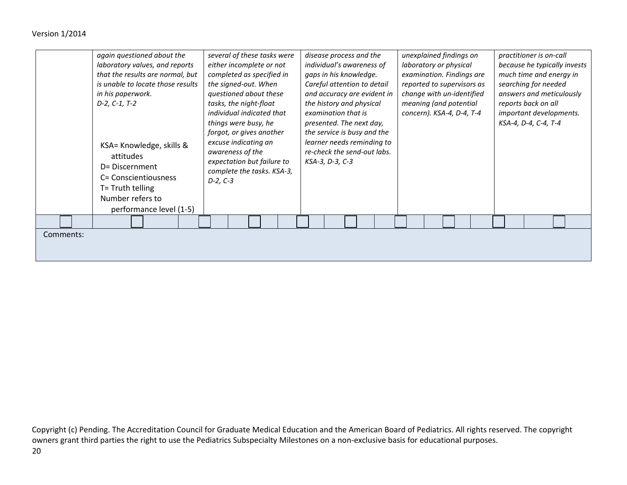| Version 1/2014 |  |
|----------------|--|
|----------------|--|

|           | again questioned about the<br>laboratory values, and reports<br>that the results are normal, but<br>is unable to locate those results<br>in his paperwork.<br>$D-2, C-1, T-2$<br>KSA= Knowledge, skills &<br>attitudes<br>D= Discernment<br>C= Conscientiousness<br>T= Truth telling<br>Number refers to | several of these tasks were<br>either incomplete or not<br>completed as specified in<br>the signed-out. When<br>questioned about these<br>tasks, the night-float<br>individual indicated that<br>things were busy, he<br>forgot, or gives another<br>excuse indicating an<br>awareness of the<br>expectation but failure to<br>complete the tasks. KSA-3,<br>$D-2, C-3$ | disease process and the<br>individual's awareness of<br>gaps in his knowledge.<br>Careful attention to detail<br>and accuracy are evident in<br>the history and physical<br>examination that is<br>presented. The next day,<br>the service is busy and the<br>learner needs reminding to<br>re-check the send-out labs.<br>KSA-3, D-3, C-3 | unexplained findings on<br>laboratory or physical<br>examination. Findings are<br>reported to supervisors as<br>change with un-identified<br>meaning (and potential<br>concern). KSA-4, D-4, T-4 | practitioner is on-call<br>because he typically invests<br>much time and energy in<br>searching for needed<br>answers and meticulously<br>reports back on all<br>important developments.<br>KSA-4, D-4, C-4, T-4 |
|-----------|----------------------------------------------------------------------------------------------------------------------------------------------------------------------------------------------------------------------------------------------------------------------------------------------------------|-------------------------------------------------------------------------------------------------------------------------------------------------------------------------------------------------------------------------------------------------------------------------------------------------------------------------------------------------------------------------|--------------------------------------------------------------------------------------------------------------------------------------------------------------------------------------------------------------------------------------------------------------------------------------------------------------------------------------------|--------------------------------------------------------------------------------------------------------------------------------------------------------------------------------------------------|------------------------------------------------------------------------------------------------------------------------------------------------------------------------------------------------------------------|
|           | performance level (1-5)                                                                                                                                                                                                                                                                                  |                                                                                                                                                                                                                                                                                                                                                                         |                                                                                                                                                                                                                                                                                                                                            |                                                                                                                                                                                                  |                                                                                                                                                                                                                  |
|           |                                                                                                                                                                                                                                                                                                          |                                                                                                                                                                                                                                                                                                                                                                         |                                                                                                                                                                                                                                                                                                                                            |                                                                                                                                                                                                  |                                                                                                                                                                                                                  |
| Comments: |                                                                                                                                                                                                                                                                                                          |                                                                                                                                                                                                                                                                                                                                                                         |                                                                                                                                                                                                                                                                                                                                            |                                                                                                                                                                                                  |                                                                                                                                                                                                                  |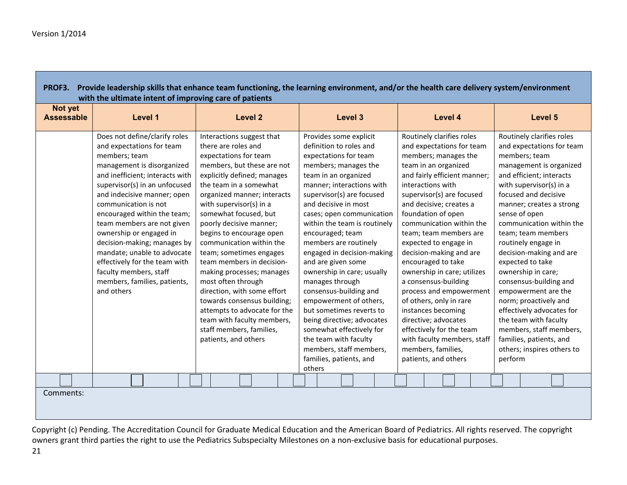#### **PROF3. Provide leadership skills that enhance team functioning, the learning environment, and/or the health care delivery system/environment with the ultimate intent of improving care of patients**

| Not yet<br><b>Assessable</b> | Level 1                                                                                                                                                                                                                                                                                                                                                                                                                                                                                             | <b>Level 2</b>                                                                                                                                                                                                                                                                                                                                                                                                                                                                                                                                                                                                                    | Level 3                                                                                                                                                                                                                                                                                                                                                                                                                                                                                                                                                                                                                                                        | Level 4                                                                                                                                                                                                                                                                                                                                                                                                                                                                                                                                                                                                                                       | Level 5                                                                                                                                                                                                                                                                                                                                                                                                                                                                                                                                                                                                     |
|------------------------------|-----------------------------------------------------------------------------------------------------------------------------------------------------------------------------------------------------------------------------------------------------------------------------------------------------------------------------------------------------------------------------------------------------------------------------------------------------------------------------------------------------|-----------------------------------------------------------------------------------------------------------------------------------------------------------------------------------------------------------------------------------------------------------------------------------------------------------------------------------------------------------------------------------------------------------------------------------------------------------------------------------------------------------------------------------------------------------------------------------------------------------------------------------|----------------------------------------------------------------------------------------------------------------------------------------------------------------------------------------------------------------------------------------------------------------------------------------------------------------------------------------------------------------------------------------------------------------------------------------------------------------------------------------------------------------------------------------------------------------------------------------------------------------------------------------------------------------|-----------------------------------------------------------------------------------------------------------------------------------------------------------------------------------------------------------------------------------------------------------------------------------------------------------------------------------------------------------------------------------------------------------------------------------------------------------------------------------------------------------------------------------------------------------------------------------------------------------------------------------------------|-------------------------------------------------------------------------------------------------------------------------------------------------------------------------------------------------------------------------------------------------------------------------------------------------------------------------------------------------------------------------------------------------------------------------------------------------------------------------------------------------------------------------------------------------------------------------------------------------------------|
|                              | Does not define/clarify roles<br>and expectations for team<br>members; team<br>management is disorganized<br>and inefficient; interacts with<br>supervisor(s) in an unfocused<br>and indecisive manner; open<br>communication is not<br>encouraged within the team;<br>team members are not given<br>ownership or engaged in<br>decision-making; manages by<br>mandate; unable to advocate<br>effectively for the team with<br>faculty members, staff<br>members, families, patients,<br>and others | Interactions suggest that<br>there are roles and<br>expectations for team<br>members, but these are not<br>explicitly defined; manages<br>the team in a somewhat<br>organized manner; interacts<br>with supervisor(s) in a<br>somewhat focused, but<br>poorly decisive manner;<br>begins to encourage open<br>communication within the<br>team; sometimes engages<br>team members in decision-<br>making processes; manages<br>most often through<br>direction, with some effort<br>towards consensus building;<br>attempts to advocate for the<br>team with faculty members,<br>staff members, families,<br>patients, and others | Provides some explicit<br>definition to roles and<br>expectations for team<br>members; manages the<br>team in an organized<br>manner; interactions with<br>supervisor(s) are focused<br>and decisive in most<br>cases; open communication<br>within the team is routinely<br>encouraged; team<br>members are routinely<br>engaged in decision-making<br>and are given some<br>ownership in care; usually<br>manages through<br>consensus-building and<br>empowerment of others,<br>but sometimes reverts to<br>being directive; advocates<br>somewhat effectively for<br>the team with faculty<br>members, staff members,<br>families, patients, and<br>others | Routinely clarifies roles<br>and expectations for team<br>members; manages the<br>team in an organized<br>and fairly efficient manner;<br>interactions with<br>supervisor(s) are focused<br>and decisive; creates a<br>foundation of open<br>communication within the<br>team; team members are<br>expected to engage in<br>decision-making and are<br>encouraged to take<br>ownership in care; utilizes<br>a consensus-building<br>process and empowerment<br>of others, only in rare<br>instances becoming<br>directive; advocates<br>effectively for the team<br>with faculty members, staff<br>members, families,<br>patients, and others | Routinely clarifies roles<br>and expectations for team<br>members; team<br>management is organized<br>and efficient; interacts<br>with supervisor(s) in a<br>focused and decisive<br>manner; creates a strong<br>sense of open<br>communication within the<br>team; team members<br>routinely engage in<br>decision-making and are<br>expected to take<br>ownership in care;<br>consensus-building and<br>empowerment are the<br>norm; proactively and<br>effectively advocates for<br>the team with faculty<br>members, staff members,<br>families, patients, and<br>others; inspires others to<br>perform |
| Comments:                    |                                                                                                                                                                                                                                                                                                                                                                                                                                                                                                     |                                                                                                                                                                                                                                                                                                                                                                                                                                                                                                                                                                                                                                   |                                                                                                                                                                                                                                                                                                                                                                                                                                                                                                                                                                                                                                                                |                                                                                                                                                                                                                                                                                                                                                                                                                                                                                                                                                                                                                                               |                                                                                                                                                                                                                                                                                                                                                                                                                                                                                                                                                                                                             |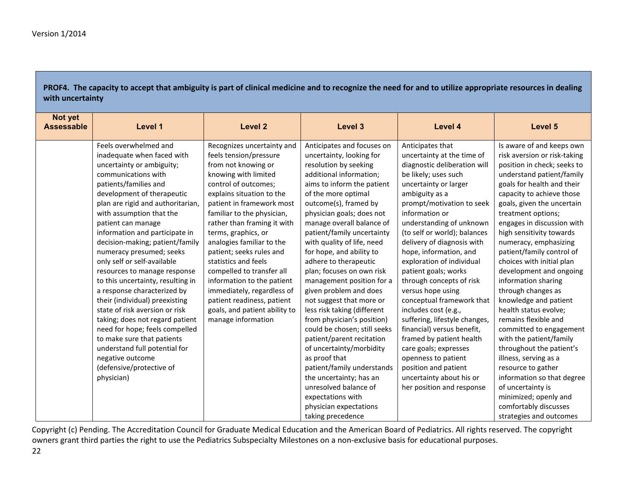| Not yet<br><b>Assessable</b> | Level 1                           | <b>Level 2</b>                | Level 3                      | Level 4                       | Level 5                      |
|------------------------------|-----------------------------------|-------------------------------|------------------------------|-------------------------------|------------------------------|
|                              | Feels overwhelmed and             | Recognizes uncertainty and    | Anticipates and focuses on   | Anticipates that              | Is aware of and keeps own    |
|                              | inadequate when faced with        | feels tension/pressure        | uncertainty, looking for     | uncertainty at the time of    | risk aversion or risk-taking |
|                              | uncertainty or ambiguity;         | from not knowing or           | resolution by seeking        | diagnostic deliberation will  | position in check; seeks to  |
|                              | communications with               | knowing with limited          | additional information;      | be likely; uses such          | understand patient/family    |
|                              | patients/families and             | control of outcomes;          | aims to inform the patient   | uncertainty or larger         | goals for health and their   |
|                              | development of therapeutic        | explains situation to the     | of the more optimal          | ambiguity as a                | capacity to achieve those    |
|                              | plan are rigid and authoritarian, | patient in framework most     | outcome(s), framed by        | prompt/motivation to seek     | goals, given the uncertain   |
|                              | with assumption that the          | familiar to the physician,    | physician goals; does not    | information or                | treatment options;           |
|                              | patient can manage                | rather than framing it with   | manage overall balance of    | understanding of unknown      | engages in discussion with   |
|                              | information and participate in    | terms, graphics, or           | patient/family uncertainty   | (to self or world); balances  | high sensitivity towards     |
|                              | decision-making; patient/family   | analogies familiar to the     | with quality of life, need   | delivery of diagnosis with    | numeracy, emphasizing        |
|                              | numeracy presumed; seeks          | patient; seeks rules and      | for hope, and ability to     | hope, information, and        | patient/family control of    |
|                              | only self or self-available       | statistics and feels          | adhere to therapeutic        | exploration of individual     | choices with initial plan    |
|                              | resources to manage response      | compelled to transfer all     | plan; focuses on own risk    | patient goals; works          | development and ongoing      |
|                              | to this uncertainty, resulting in | information to the patient    | management position for a    | through concepts of risk      | information sharing          |
|                              | a response characterized by       | immediately, regardless of    | given problem and does       | versus hope using             | through changes as           |
|                              | their (individual) preexisting    | patient readiness, patient    | not suggest that more or     | conceptual framework that     | knowledge and patient        |
|                              | state of risk aversion or risk    | goals, and patient ability to | less risk taking (different  | includes cost (e.g.,          | health status evolve;        |
|                              | taking; does not regard patient   | manage information            | from physician's position)   | suffering, lifestyle changes, | remains flexible and         |
|                              | need for hope; feels compelled    |                               | could be chosen; still seeks | financial) versus benefit,    | committed to engagement      |
|                              | to make sure that patients        |                               | patient/parent recitation    | framed by patient health      | with the patient/family      |
|                              | understand full potential for     |                               | of uncertainty/morbidity     | care goals; expresses         | throughout the patient's     |
|                              | negative outcome                  |                               | as proof that                | openness to patient           | illness, serving as a        |
|                              | (defensive/protective of          |                               | patient/family understands   | position and patient          | resource to gather           |
|                              | physician)                        |                               | the uncertainty; has an      | uncertainty about his or      | information so that degree   |
|                              |                                   |                               | unresolved balance of        | her position and response     | of uncertainty is            |
|                              |                                   |                               | expectations with            |                               | minimized; openly and        |
|                              |                                   |                               | physician expectations       |                               | comfortably discusses        |
|                              |                                   |                               | taking precedence            |                               | strategies and outcomes      |

**PROF4. The capacity to accept that ambiguity is part of clinical medicine and to recognize the need for and to utilize appropriate resources in dealing with uncertainty**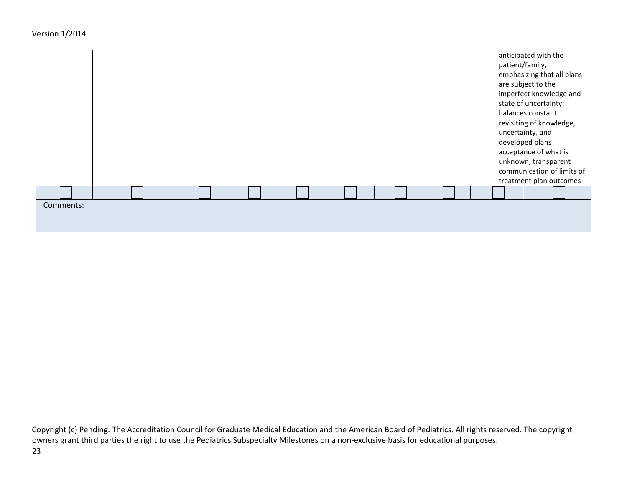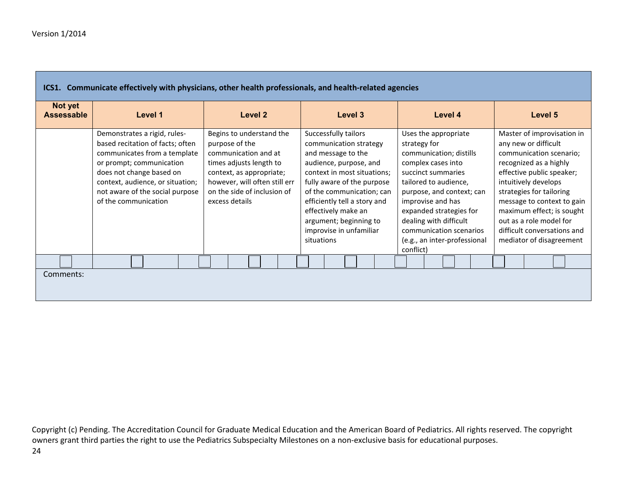| ICS1. Communicate effectively with physicians, other health professionals, and health-related agencies<br>Not yet |                                                                                                                                                                                                                                                         |                                                                                                                                                                                                             |                                                                                                                                                                                                                                                                                                                    |                                                                                                                                                                                                                                                                                                                     |                                                                                                                                                                                                                                                                                                                                           |  |  |  |  |  |  |  |  |
|-------------------------------------------------------------------------------------------------------------------|---------------------------------------------------------------------------------------------------------------------------------------------------------------------------------------------------------------------------------------------------------|-------------------------------------------------------------------------------------------------------------------------------------------------------------------------------------------------------------|--------------------------------------------------------------------------------------------------------------------------------------------------------------------------------------------------------------------------------------------------------------------------------------------------------------------|---------------------------------------------------------------------------------------------------------------------------------------------------------------------------------------------------------------------------------------------------------------------------------------------------------------------|-------------------------------------------------------------------------------------------------------------------------------------------------------------------------------------------------------------------------------------------------------------------------------------------------------------------------------------------|--|--|--|--|--|--|--|--|
| <b>Assessable</b>                                                                                                 | Level 1                                                                                                                                                                                                                                                 | Level 2                                                                                                                                                                                                     | Level 3                                                                                                                                                                                                                                                                                                            | Level 4                                                                                                                                                                                                                                                                                                             | Level 5                                                                                                                                                                                                                                                                                                                                   |  |  |  |  |  |  |  |  |
|                                                                                                                   | Demonstrates a rigid, rules-<br>based recitation of facts; often<br>communicates from a template<br>or prompt; communication<br>does not change based on<br>context, audience, or situation;<br>not aware of the social purpose<br>of the communication | Begins to understand the<br>purpose of the<br>communication and at<br>times adjusts length to<br>context, as appropriate;<br>however, will often still err<br>on the side of inclusion of<br>excess details | Successfully tailors<br>communication strategy<br>and message to the<br>audience, purpose, and<br>context in most situations;<br>fully aware of the purpose<br>of the communication; can<br>efficiently tell a story and<br>effectively make an<br>argument; beginning to<br>improvise in unfamiliar<br>situations | Uses the appropriate<br>strategy for<br>communication; distills<br>complex cases into<br>succinct summaries<br>tailored to audience,<br>purpose, and context; can<br>improvise and has<br>expanded strategies for<br>dealing with difficult<br>communication scenarios<br>(e.g., an inter-professional<br>conflict) | Master of improvisation in<br>any new or difficult<br>communication scenario;<br>recognized as a highly<br>effective public speaker;<br>intuitively develops<br>strategies for tailoring<br>message to context to gain<br>maximum effect; is sought<br>out as a role model for<br>difficult conversations and<br>mediator of disagreement |  |  |  |  |  |  |  |  |
|                                                                                                                   |                                                                                                                                                                                                                                                         |                                                                                                                                                                                                             |                                                                                                                                                                                                                                                                                                                    |                                                                                                                                                                                                                                                                                                                     |                                                                                                                                                                                                                                                                                                                                           |  |  |  |  |  |  |  |  |
| Comments:                                                                                                         |                                                                                                                                                                                                                                                         |                                                                                                                                                                                                             |                                                                                                                                                                                                                                                                                                                    |                                                                                                                                                                                                                                                                                                                     |                                                                                                                                                                                                                                                                                                                                           |  |  |  |  |  |  |  |  |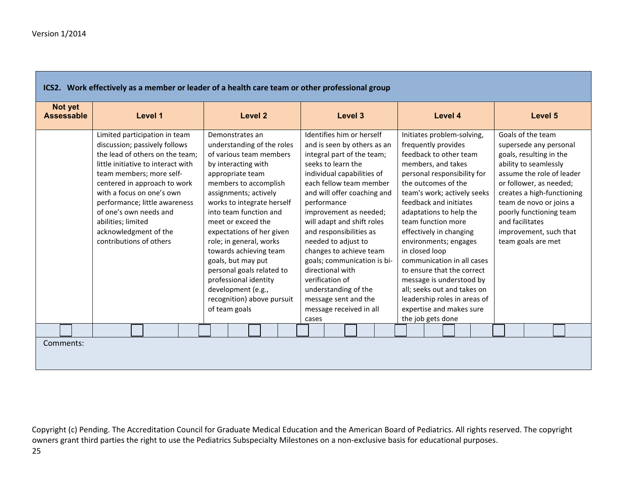| ICS2. Work effectively as a member or leader of a health care team or other professional group                                                                                                                                                                                                                                                                        |                                                                                                                                                                                                                                                                                                                                                                                                                                                                                        |                                                                                                                                                                                                                                                                                                                                                                                                                                                                                                                    |                                                                                                                                                                                                                                                                                                                                                                                                                                                                                                                                                 |                                                                                                                                                                                                                                                                                                                |  |  |  |  |  |  |  |  |
|-----------------------------------------------------------------------------------------------------------------------------------------------------------------------------------------------------------------------------------------------------------------------------------------------------------------------------------------------------------------------|----------------------------------------------------------------------------------------------------------------------------------------------------------------------------------------------------------------------------------------------------------------------------------------------------------------------------------------------------------------------------------------------------------------------------------------------------------------------------------------|--------------------------------------------------------------------------------------------------------------------------------------------------------------------------------------------------------------------------------------------------------------------------------------------------------------------------------------------------------------------------------------------------------------------------------------------------------------------------------------------------------------------|-------------------------------------------------------------------------------------------------------------------------------------------------------------------------------------------------------------------------------------------------------------------------------------------------------------------------------------------------------------------------------------------------------------------------------------------------------------------------------------------------------------------------------------------------|----------------------------------------------------------------------------------------------------------------------------------------------------------------------------------------------------------------------------------------------------------------------------------------------------------------|--|--|--|--|--|--|--|--|
| Not yet<br><b>Assessable</b><br>Level 1                                                                                                                                                                                                                                                                                                                               | Level 2                                                                                                                                                                                                                                                                                                                                                                                                                                                                                | Level 3                                                                                                                                                                                                                                                                                                                                                                                                                                                                                                            | Level 4                                                                                                                                                                                                                                                                                                                                                                                                                                                                                                                                         | Level 5                                                                                                                                                                                                                                                                                                        |  |  |  |  |  |  |  |  |
| Limited participation in team<br>discussion; passively follows<br>the lead of others on the team;<br>little initiative to interact with<br>team members; more self-<br>centered in approach to work<br>with a focus on one's own<br>performance; little awareness<br>of one's own needs and<br>abilities; limited<br>acknowledgment of the<br>contributions of others | Demonstrates an<br>understanding of the roles<br>of various team members<br>by interacting with<br>appropriate team<br>members to accomplish<br>assignments; actively<br>works to integrate herself<br>into team function and<br>meet or exceed the<br>expectations of her given<br>role; in general, works<br>towards achieving team<br>goals, but may put<br>personal goals related to<br>professional identity<br>development (e.g.,<br>recognition) above pursuit<br>of team goals | Identifies him or herself<br>and is seen by others as an<br>integral part of the team;<br>seeks to learn the<br>individual capabilities of<br>each fellow team member<br>and will offer coaching and<br>performance<br>improvement as needed;<br>will adapt and shift roles<br>and responsibilities as<br>needed to adjust to<br>changes to achieve team<br>goals; communication is bi-<br>directional with<br>verification of<br>understanding of the<br>message sent and the<br>message received in all<br>cases | Initiates problem-solving,<br>frequently provides<br>feedback to other team<br>members, and takes<br>personal responsibility for<br>the outcomes of the<br>team's work; actively seeks<br>feedback and initiates<br>adaptations to help the<br>team function more<br>effectively in changing<br>environments; engages<br>in closed loop<br>communication in all cases<br>to ensure that the correct<br>message is understood by<br>all: seeks out and takes on<br>leadership roles in areas of<br>expertise and makes sure<br>the job gets done | Goals of the team<br>supersede any personal<br>goals, resulting in the<br>ability to seamlessly<br>assume the role of leader<br>or follower, as needed;<br>creates a high-functioning<br>team de novo or joins a<br>poorly functioning team<br>and facilitates<br>improvement, such that<br>team goals are met |  |  |  |  |  |  |  |  |
| Comments:                                                                                                                                                                                                                                                                                                                                                             |                                                                                                                                                                                                                                                                                                                                                                                                                                                                                        |                                                                                                                                                                                                                                                                                                                                                                                                                                                                                                                    |                                                                                                                                                                                                                                                                                                                                                                                                                                                                                                                                                 |                                                                                                                                                                                                                                                                                                                |  |  |  |  |  |  |  |  |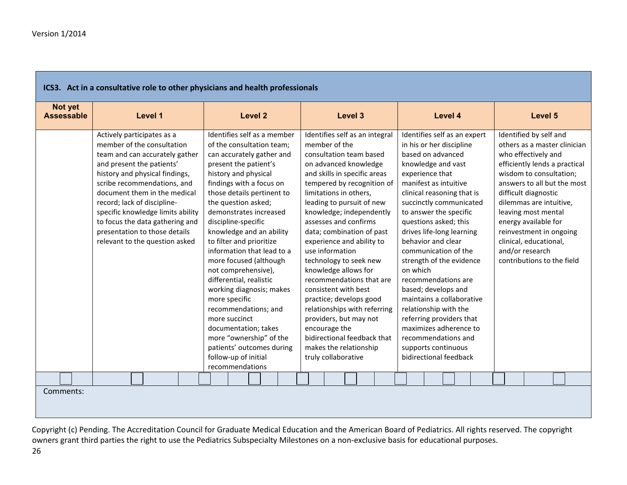| ICS3. Act in a consultative role to other physicians and health professionals |                                                                                                                                                                                                                                                                                                                                                                                                    |         |  |                                                                                                                                                                                                                                                                                                                                                                                                                                                                                                                                                                                                                                                             |  |  |  |         |                                                                                                                                                                                                                                                                                                                                                                                                                                                                                                                                                                                                                                                        |  |  |  |                                                   |                                                                                                                                                                                                                                                                                                                                                                                                                                                                                                                                                             |                                                                                                                                                                                                                                                                                                                                                                                  |  |  |  |  |
|-------------------------------------------------------------------------------|----------------------------------------------------------------------------------------------------------------------------------------------------------------------------------------------------------------------------------------------------------------------------------------------------------------------------------------------------------------------------------------------------|---------|--|-------------------------------------------------------------------------------------------------------------------------------------------------------------------------------------------------------------------------------------------------------------------------------------------------------------------------------------------------------------------------------------------------------------------------------------------------------------------------------------------------------------------------------------------------------------------------------------------------------------------------------------------------------------|--|--|--|---------|--------------------------------------------------------------------------------------------------------------------------------------------------------------------------------------------------------------------------------------------------------------------------------------------------------------------------------------------------------------------------------------------------------------------------------------------------------------------------------------------------------------------------------------------------------------------------------------------------------------------------------------------------------|--|--|--|---------------------------------------------------|-------------------------------------------------------------------------------------------------------------------------------------------------------------------------------------------------------------------------------------------------------------------------------------------------------------------------------------------------------------------------------------------------------------------------------------------------------------------------------------------------------------------------------------------------------------|----------------------------------------------------------------------------------------------------------------------------------------------------------------------------------------------------------------------------------------------------------------------------------------------------------------------------------------------------------------------------------|--|--|--|--|
| Not yet<br>Assessable                                                         |                                                                                                                                                                                                                                                                                                                                                                                                    | Level 1 |  | Level <sub>2</sub>                                                                                                                                                                                                                                                                                                                                                                                                                                                                                                                                                                                                                                          |  |  |  | Level 3 |                                                                                                                                                                                                                                                                                                                                                                                                                                                                                                                                                                                                                                                        |  |  |  | Level 4                                           | Level 5                                                                                                                                                                                                                                                                                                                                                                                                                                                                                                                                                     |                                                                                                                                                                                                                                                                                                                                                                                  |  |  |  |  |
|                                                                               | Actively participates as a<br>member of the consultation<br>team and can accurately gather<br>and present the patients'<br>history and physical findings,<br>scribe recommendations, and<br>document them in the medical<br>record; lack of discipline-<br>specific knowledge limits ability<br>to focus the data gathering and<br>presentation to those details<br>relevant to the question asked |         |  | Identifies self as a member<br>of the consultation team;<br>can accurately gather and<br>present the patient's<br>history and physical<br>findings with a focus on<br>those details pertinent to<br>the question asked;<br>demonstrates increased<br>discipline-specific<br>knowledge and an ability<br>to filter and prioritize<br>information that lead to a<br>more focused (although<br>not comprehensive),<br>differential, realistic<br>working diagnosis; makes<br>more specific<br>recommendations; and<br>more succinct<br>documentation; takes<br>more "ownership" of the<br>patients' outcomes during<br>follow-up of initial<br>recommendations |  |  |  |         | Identifies self as an integral<br>member of the<br>consultation team based<br>on advanced knowledge<br>and skills in specific areas<br>tempered by recognition of<br>limitations in others,<br>leading to pursuit of new<br>knowledge; independently<br>assesses and confirms<br>data; combination of past<br>experience and ability to<br>use information<br>technology to seek new<br>knowledge allows for<br>recommendations that are<br>consistent with best<br>practice; develops good<br>relationships with referring<br>providers, but may not<br>encourage the<br>bidirectional feedback that<br>makes the relationship<br>truly collaborative |  |  |  | experience that<br>behavior and clear<br>on which | Identifies self as an expert<br>in his or her discipline<br>based on advanced<br>knowledge and vast<br>manifest as intuitive<br>clinical reasoning that is<br>succinctly communicated<br>to answer the specific<br>questions asked; this<br>drives life-long learning<br>communication of the<br>strength of the evidence<br>recommendations are<br>based; develops and<br>maintains a collaborative<br>relationship with the<br>referring providers that<br>maximizes adherence to<br>recommendations and<br>supports continuous<br>bidirectional feedback | Identified by self and<br>others as a master clinician<br>who effectively and<br>efficiently lends a practical<br>wisdom to consultation;<br>answers to all but the most<br>difficult diagnostic<br>dilemmas are intuitive,<br>leaving most mental<br>energy available for<br>reinvestment in ongoing<br>clinical, educational,<br>and/or research<br>contributions to the field |  |  |  |  |
| Comments:                                                                     |                                                                                                                                                                                                                                                                                                                                                                                                    |         |  |                                                                                                                                                                                                                                                                                                                                                                                                                                                                                                                                                                                                                                                             |  |  |  |         |                                                                                                                                                                                                                                                                                                                                                                                                                                                                                                                                                                                                                                                        |  |  |  |                                                   |                                                                                                                                                                                                                                                                                                                                                                                                                                                                                                                                                             |                                                                                                                                                                                                                                                                                                                                                                                  |  |  |  |  |